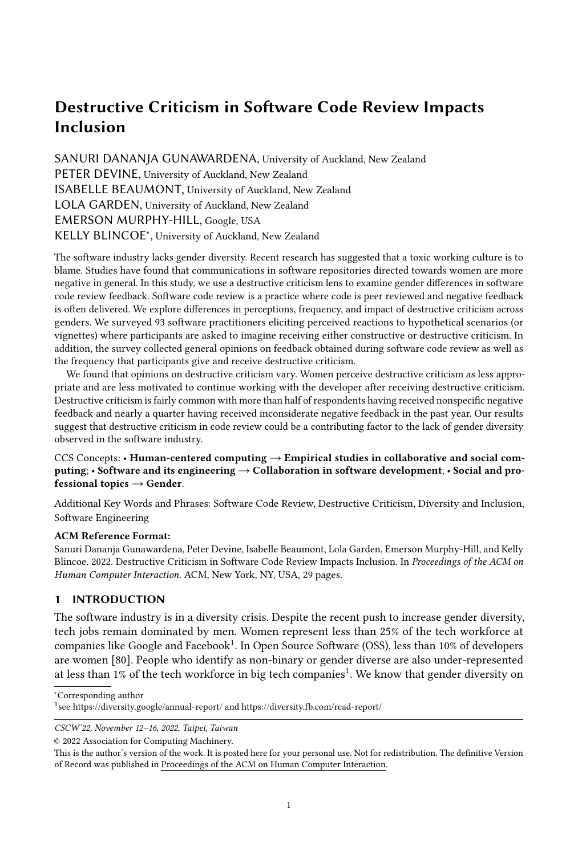# Destructive Criticism in Software Code Review Impacts Inclusion

SANURI DANANJA GUNAWARDENA, University of Auckland, New Zealand PETER DEVINE, University of Auckland, New Zealand ISABELLE BEAUMONT, University of Auckland, New Zealand LOLA GARDEN, University of Auckland, New Zealand EMERSON MURPHY-HILL, Google, USA KELLY BLINCOE<sup>∗</sup> , University of Auckland, New Zealand

The software industry lacks gender diversity. Recent research has suggested that a toxic working culture is to blame. Studies have found that communications in software repositories directed towards women are more negative in general. In this study, we use a destructive criticism lens to examine gender differences in software code review feedback. Software code review is a practice where code is peer reviewed and negative feedback is often delivered. We explore differences in perceptions, frequency, and impact of destructive criticism across genders. We surveyed 93 software practitioners eliciting perceived reactions to hypothetical scenarios (or vignettes) where participants are asked to imagine receiving either constructive or destructive criticism. In addition, the survey collected general opinions on feedback obtained during software code review as well as the frequency that participants give and receive destructive criticism.

We found that opinions on destructive criticism vary. Women perceive destructive criticism as less appropriate and are less motivated to continue working with the developer after receiving destructive criticism. Destructive criticism is fairly common with more than half of respondents having received nonspecific negative feedback and nearly a quarter having received inconsiderate negative feedback in the past year. Our results suggest that destructive criticism in code review could be a contributing factor to the lack of gender diversity observed in the software industry.

### CCS Concepts: • Human-centered computing → Empirical studies in collaborative and social computing; • Software and its engineering → Collaboration in software development; • Social and professional topics  $\rightarrow$  Gender.

Additional Key Words and Phrases: Software Code Review, Destructive Criticism, Diversity and Inclusion, Software Engineering

### ACM Reference Format:

Sanuri Dananja Gunawardena, Peter Devine, Isabelle Beaumont, Lola Garden, Emerson Murphy-Hill, and Kelly Blincoe. 2022. Destructive Criticism in Software Code Review Impacts Inclusion. In Proceedings of the ACM on Human Computer Interaction. ACM, New York, NY, USA, [29](#page-28-0) pages.

## 1 INTRODUCTION

The software industry is in a diversity crisis. Despite the recent push to increase gender diversity, tech jobs remain dominated by men. Women represent less than 25% of the tech workforce at companies like Google and Facebook $^1$  $^1$ . In Open Source Software (OSS), less than 10% of developers are women [\[80\]](#page-28-1). People who identify as non-binary or gender diverse are also under-represented at less than [1](#page-0-0)% of the tech workforce in big tech companies<sup>1</sup>. We know that gender diversity on

<sup>∗</sup>Corresponding author

CSCW'22, November 12–16, 2022, Taipei, Taiwan

© 2022 Association for Computing Machinery.

<span id="page-0-0"></span><sup>1</sup> see<https://diversity.google/annual-report/> and<https://diversity.fb.com/read-report/>

This is the author's version of the work. It is posted here for your personal use. Not for redistribution. The definitive Version of Record was published in Proceedings of the ACM on Human Computer Interaction.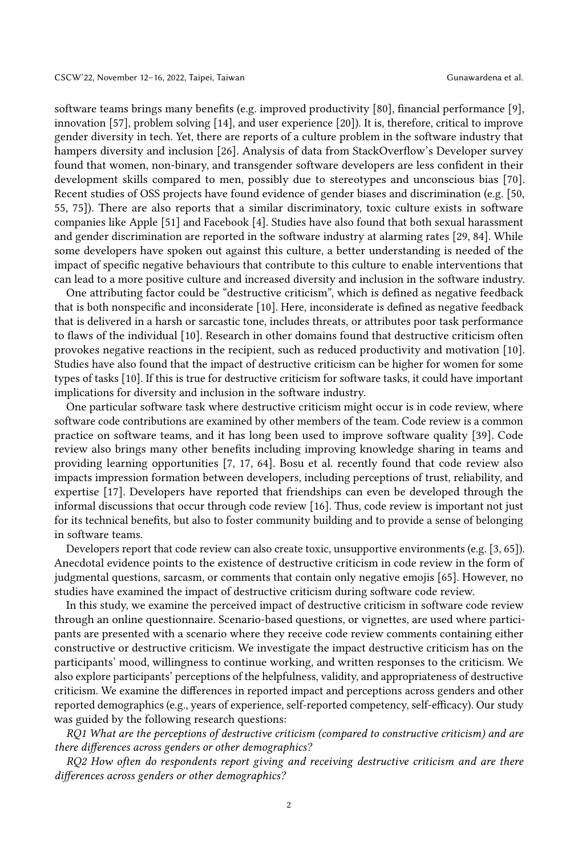software teams brings many benefits (e.g. improved productivity [\[80\]](#page-28-1), financial performance [\[9\]](#page-25-0), innovation [\[57\]](#page-27-0), problem solving [\[14\]](#page-25-1), and user experience [\[20\]](#page-26-0)). It is, therefore, critical to improve gender diversity in tech. Yet, there are reports of a culture problem in the software industry that hampers diversity and inclusion [\[26\]](#page-26-1). Analysis of data from StackOverflow's Developer survey found that women, non-binary, and transgender software developers are less confident in their development skills compared to men, possibly due to stereotypes and unconscious bias [\[70\]](#page-28-2). Recent studies of OSS projects have found evidence of gender biases and discrimination (e.g. [\[50,](#page-27-1) [55,](#page-27-2) [75\]](#page-28-3)). There are also reports that a similar discriminatory, toxic culture exists in software companies like Apple [\[51\]](#page-27-3) and Facebook [\[4\]](#page-25-2). Studies have also found that both sexual harassment and gender discrimination are reported in the software industry at alarming rates [\[29,](#page-26-2) [84\]](#page-28-4). While some developers have spoken out against this culture, a better understanding is needed of the impact of specific negative behaviours that contribute to this culture to enable interventions that can lead to a more positive culture and increased diversity and inclusion in the software industry.

One attributing factor could be "destructive criticism", which is defined as negative feedback that is both nonspecific and inconsiderate [\[10\]](#page-25-3). Here, inconsiderate is defined as negative feedback that is delivered in a harsh or sarcastic tone, includes threats, or attributes poor task performance to flaws of the individual [\[10\]](#page-25-3). Research in other domains found that destructive criticism often provokes negative reactions in the recipient, such as reduced productivity and motivation [\[10\]](#page-25-3). Studies have also found that the impact of destructive criticism can be higher for women for some types of tasks [\[10\]](#page-25-3). If this is true for destructive criticism for software tasks, it could have important implications for diversity and inclusion in the software industry.

One particular software task where destructive criticism might occur is in code review, where software code contributions are examined by other members of the team. Code review is a common practice on software teams, and it has long been used to improve software quality [\[39\]](#page-26-3). Code review also brings many other benefits including improving knowledge sharing in teams and providing learning opportunities [\[7,](#page-25-4) [17,](#page-25-5) [64\]](#page-27-4). Bosu et al. recently found that code review also impacts impression formation between developers, including perceptions of trust, reliability, and expertise [\[17\]](#page-25-5). Developers have reported that friendships can even be developed through the informal discussions that occur through code review [\[16\]](#page-25-6). Thus, code review is important not just for its technical benefits, but also to foster community building and to provide a sense of belonging in software teams.

Developers report that code review can also create toxic, unsupportive environments (e.g. [\[3,](#page-25-7) [65\]](#page-27-5)). Anecdotal evidence points to the existence of destructive criticism in code review in the form of judgmental questions, sarcasm, or comments that contain only negative emojis [\[65\]](#page-27-5). However, no studies have examined the impact of destructive criticism during software code review.

In this study, we examine the perceived impact of destructive criticism in software code review through an online questionnaire. Scenario-based questions, or vignettes, are used where participants are presented with a scenario where they receive code review comments containing either constructive or destructive criticism. We investigate the impact destructive criticism has on the participants' mood, willingness to continue working, and written responses to the criticism. We also explore participants' perceptions of the helpfulness, validity, and appropriateness of destructive criticism. We examine the differences in reported impact and perceptions across genders and other reported demographics (e.g., years of experience, self-reported competency, self-efficacy). Our study was guided by the following research questions:

RQ1 What are the perceptions of destructive criticism (compared to constructive criticism) and are there differences across genders or other demographics?

RQ2 How often do respondents report giving and receiving destructive criticism and are there differences across genders or other demographics?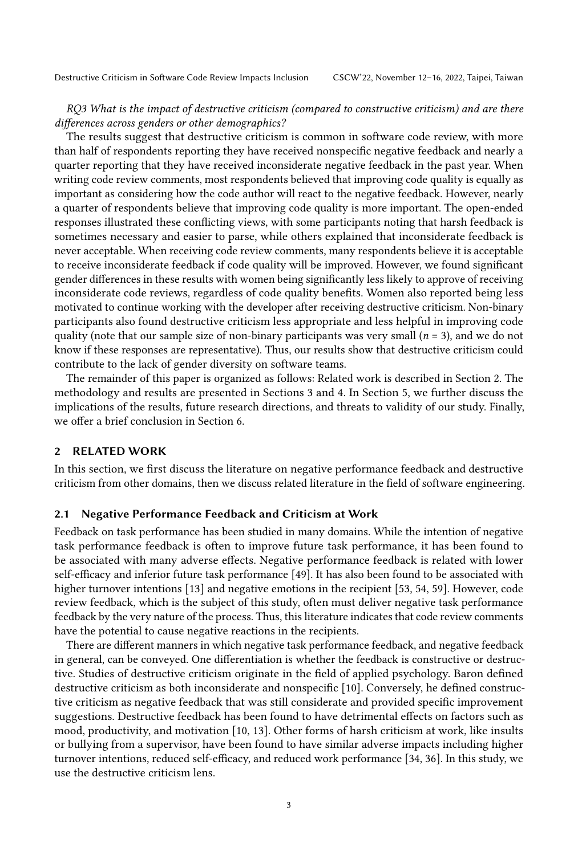### RQ3 What is the impact of destructive criticism (compared to constructive criticism) and are there differences across genders or other demographics?

The results suggest that destructive criticism is common in software code review, with more than half of respondents reporting they have received nonspecific negative feedback and nearly a quarter reporting that they have received inconsiderate negative feedback in the past year. When writing code review comments, most respondents believed that improving code quality is equally as important as considering how the code author will react to the negative feedback. However, nearly a quarter of respondents believe that improving code quality is more important. The open-ended responses illustrated these conflicting views, with some participants noting that harsh feedback is sometimes necessary and easier to parse, while others explained that inconsiderate feedback is never acceptable. When receiving code review comments, many respondents believe it is acceptable to receive inconsiderate feedback if code quality will be improved. However, we found significant gender differences in these results with women being significantly less likely to approve of receiving inconsiderate code reviews, regardless of code quality benefits. Women also reported being less motivated to continue working with the developer after receiving destructive criticism. Non-binary participants also found destructive criticism less appropriate and less helpful in improving code quality (note that our sample size of non-binary participants was very small ( $n = 3$ ), and we do not know if these responses are representative). Thus, our results show that destructive criticism could contribute to the lack of gender diversity on software teams.

The remainder of this paper is organized as follows: Related work is described in Section [2.](#page-2-0) The methodology and results are presented in Sections [3](#page-5-0) and [4.](#page-11-0) In Section [5,](#page-20-0) we further discuss the implications of the results, future research directions, and threats to validity of our study. Finally, we offer a brief conclusion in Section [6.](#page-24-0)

# <span id="page-2-0"></span>2 RELATED WORK

In this section, we first discuss the literature on negative performance feedback and destructive criticism from other domains, then we discuss related literature in the field of software engineering.

#### <span id="page-2-1"></span>2.1 Negative Performance Feedback and Criticism at Work

Feedback on task performance has been studied in many domains. While the intention of negative task performance feedback is often to improve future task performance, it has been found to be associated with many adverse effects. Negative performance feedback is related with lower self-efficacy and inferior future task performance [\[49\]](#page-27-6). It has also been found to be associated with higher turnover intentions [\[13\]](#page-25-8) and negative emotions in the recipient [\[53,](#page-27-7) [54,](#page-27-8) [59\]](#page-27-9). However, code review feedback, which is the subject of this study, often must deliver negative task performance feedback by the very nature of the process. Thus, this literature indicates that code review comments have the potential to cause negative reactions in the recipients.

There are different manners in which negative task performance feedback, and negative feedback in general, can be conveyed. One differentiation is whether the feedback is constructive or destructive. Studies of destructive criticism originate in the field of applied psychology. Baron defined destructive criticism as both inconsiderate and nonspecific [\[10\]](#page-25-3). Conversely, he defined constructive criticism as negative feedback that was still considerate and provided specific improvement suggestions. Destructive feedback has been found to have detrimental effects on factors such as mood, productivity, and motivation [\[10,](#page-25-3) [13\]](#page-25-8). Other forms of harsh criticism at work, like insults or bullying from a supervisor, have been found to have similar adverse impacts including higher turnover intentions, reduced self-efficacy, and reduced work performance [\[34,](#page-26-4) [36\]](#page-26-5). In this study, we use the destructive criticism lens.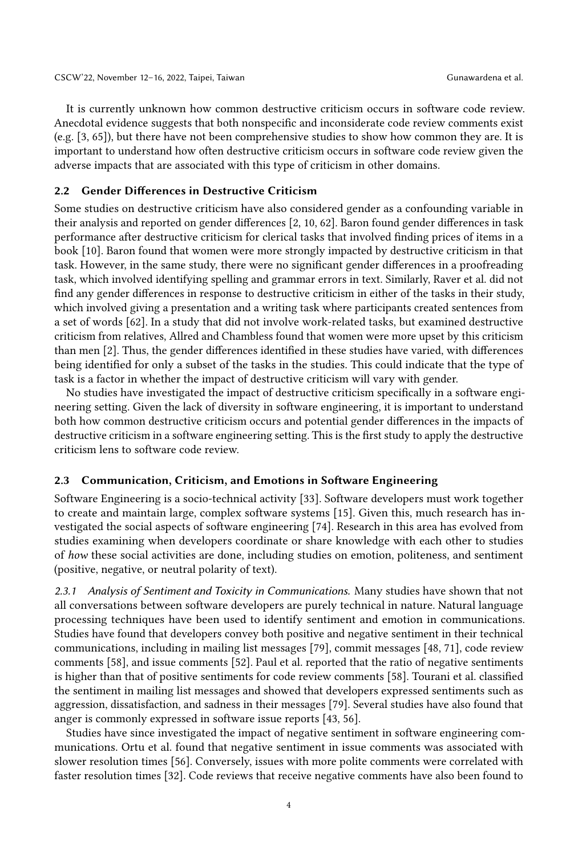It is currently unknown how common destructive criticism occurs in software code review. Anecdotal evidence suggests that both nonspecific and inconsiderate code review comments exist (e.g. [\[3,](#page-25-7) [65\]](#page-27-5)), but there have not been comprehensive studies to show how common they are. It is important to understand how often destructive criticism occurs in software code review given the adverse impacts that are associated with this type of criticism in other domains.

#### 2.2 Gender Differences in Destructive Criticism

Some studies on destructive criticism have also considered gender as a confounding variable in their analysis and reported on gender differences [\[2,](#page-25-9) [10,](#page-25-3) [62\]](#page-27-10). Baron found gender differences in task performance after destructive criticism for clerical tasks that involved finding prices of items in a book [\[10\]](#page-25-3). Baron found that women were more strongly impacted by destructive criticism in that task. However, in the same study, there were no significant gender differences in a proofreading task, which involved identifying spelling and grammar errors in text. Similarly, Raver et al. did not find any gender differences in response to destructive criticism in either of the tasks in their study, which involved giving a presentation and a writing task where participants created sentences from a set of words [\[62\]](#page-27-10). In a study that did not involve work-related tasks, but examined destructive criticism from relatives, Allred and Chambless found that women were more upset by this criticism than men [\[2\]](#page-25-9). Thus, the gender differences identified in these studies have varied, with differences being identified for only a subset of the tasks in the studies. This could indicate that the type of task is a factor in whether the impact of destructive criticism will vary with gender.

No studies have investigated the impact of destructive criticism specifically in a software engineering setting. Given the lack of diversity in software engineering, it is important to understand both how common destructive criticism occurs and potential gender differences in the impacts of destructive criticism in a software engineering setting. This is the first study to apply the destructive criticism lens to software code review.

#### 2.3 Communication, Criticism, and Emotions in Software Engineering

Software Engineering is a socio-technical activity [\[33\]](#page-26-6). Software developers must work together to create and maintain large, complex software systems [\[15\]](#page-25-10). Given this, much research has investigated the social aspects of software engineering [\[74\]](#page-28-5). Research in this area has evolved from studies examining when developers coordinate or share knowledge with each other to studies of how these social activities are done, including studies on emotion, politeness, and sentiment (positive, negative, or neutral polarity of text).

2.3.1 Analysis of Sentiment and Toxicity in Communications. Many studies have shown that not all conversations between software developers are purely technical in nature. Natural language processing techniques have been used to identify sentiment and emotion in communications. Studies have found that developers convey both positive and negative sentiment in their technical communications, including in mailing list messages [\[79\]](#page-28-6), commit messages [\[48,](#page-27-11) [71\]](#page-28-7), code review comments [\[58\]](#page-27-12), and issue comments [\[52\]](#page-27-13). Paul et al. reported that the ratio of negative sentiments is higher than that of positive sentiments for code review comments [\[58\]](#page-27-12). Tourani et al. classified the sentiment in mailing list messages and showed that developers expressed sentiments such as aggression, dissatisfaction, and sadness in their messages [\[79\]](#page-28-6). Several studies have also found that anger is commonly expressed in software issue reports [\[43,](#page-26-7) [56\]](#page-27-14).

Studies have since investigated the impact of negative sentiment in software engineering communications. Ortu et al. found that negative sentiment in issue comments was associated with slower resolution times [\[56\]](#page-27-14). Conversely, issues with more polite comments were correlated with faster resolution times [\[32\]](#page-26-8). Code reviews that receive negative comments have also been found to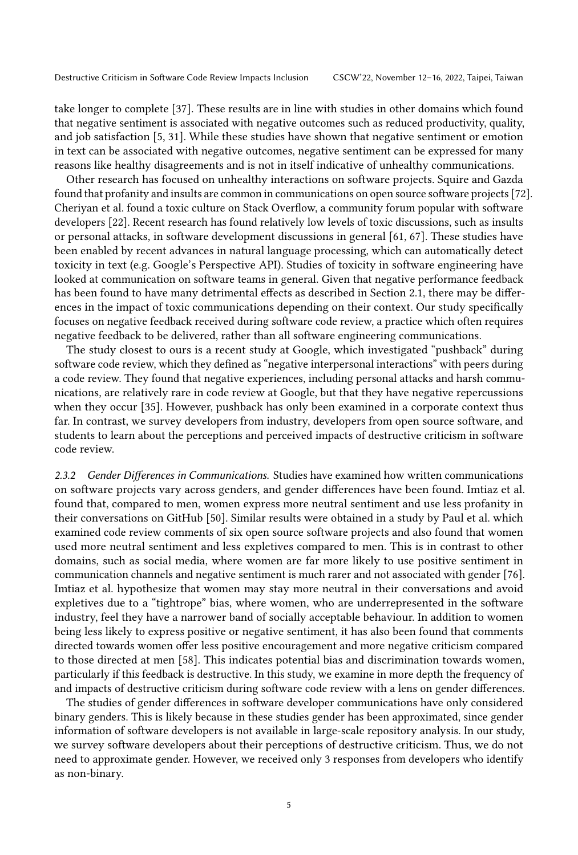take longer to complete [\[37\]](#page-26-9). These results are in line with studies in other domains which found that negative sentiment is associated with negative outcomes such as reduced productivity, quality, and job satisfaction [\[5,](#page-25-11) [31\]](#page-26-10). While these studies have shown that negative sentiment or emotion in text can be associated with negative outcomes, negative sentiment can be expressed for many reasons like healthy disagreements and is not in itself indicative of unhealthy communications.

Other research has focused on unhealthy interactions on software projects. Squire and Gazda found that profanity and insults are common in communications on open source software projects [\[72\]](#page-28-8). Cheriyan et al. found a toxic culture on Stack Overflow, a community forum popular with software developers [\[22\]](#page-26-11). Recent research has found relatively low levels of toxic discussions, such as insults or personal attacks, in software development discussions in general [\[61,](#page-27-15) [67\]](#page-27-16). These studies have been enabled by recent advances in natural language processing, which can automatically detect toxicity in text (e.g. Google's Perspective API). Studies of toxicity in software engineering have looked at communication on software teams in general. Given that negative performance feedback has been found to have many detrimental effects as described in Section [2.1,](#page-2-1) there may be differences in the impact of toxic communications depending on their context. Our study specifically focuses on negative feedback received during software code review, a practice which often requires negative feedback to be delivered, rather than all software engineering communications.

The study closest to ours is a recent study at Google, which investigated "pushback" during software code review, which they defined as "negative interpersonal interactions" with peers during a code review. They found that negative experiences, including personal attacks and harsh communications, are relatively rare in code review at Google, but that they have negative repercussions when they occur [\[35\]](#page-26-12). However, pushback has only been examined in a corporate context thus far. In contrast, we survey developers from industry, developers from open source software, and students to learn about the perceptions and perceived impacts of destructive criticism in software code review.

2.3.2 Gender Differences in Communications. Studies have examined how written communications on software projects vary across genders, and gender differences have been found. Imtiaz et al. found that, compared to men, women express more neutral sentiment and use less profanity in their conversations on GitHub [\[50\]](#page-27-1). Similar results were obtained in a study by Paul et al. which examined code review comments of six open source software projects and also found that women used more neutral sentiment and less expletives compared to men. This is in contrast to other domains, such as social media, where women are far more likely to use positive sentiment in communication channels and negative sentiment is much rarer and not associated with gender [\[76\]](#page-28-9). Imtiaz et al. hypothesize that women may stay more neutral in their conversations and avoid expletives due to a "tightrope" bias, where women, who are underrepresented in the software industry, feel they have a narrower band of socially acceptable behaviour. In addition to women being less likely to express positive or negative sentiment, it has also been found that comments directed towards women offer less positive encouragement and more negative criticism compared to those directed at men [\[58\]](#page-27-12). This indicates potential bias and discrimination towards women, particularly if this feedback is destructive. In this study, we examine in more depth the frequency of and impacts of destructive criticism during software code review with a lens on gender differences.

The studies of gender differences in software developer communications have only considered binary genders. This is likely because in these studies gender has been approximated, since gender information of software developers is not available in large-scale repository analysis. In our study, we survey software developers about their perceptions of destructive criticism. Thus, we do not need to approximate gender. However, we received only 3 responses from developers who identify as non-binary.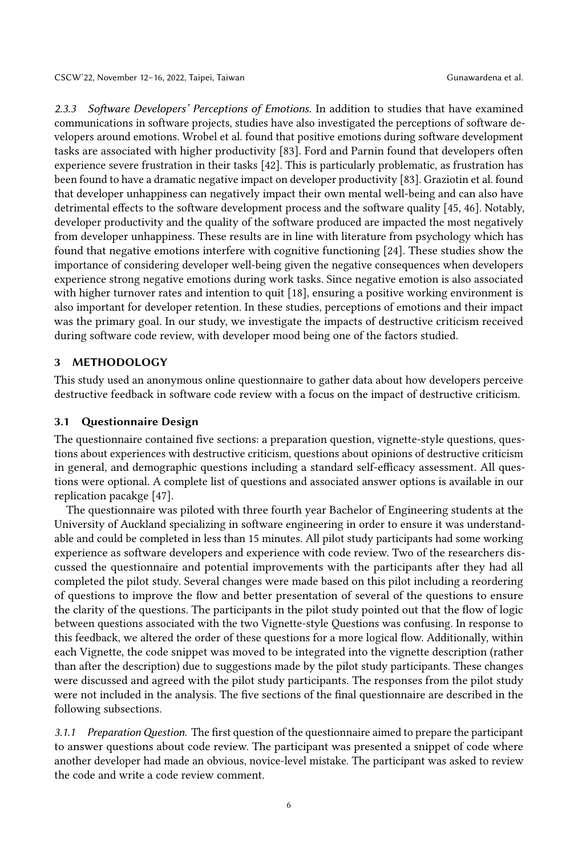2.3.3 Software Developers' Perceptions of Emotions. In addition to studies that have examined communications in software projects, studies have also investigated the perceptions of software developers around emotions. Wrobel et al. found that positive emotions during software development tasks are associated with higher productivity [\[83\]](#page-28-10). Ford and Parnin found that developers often experience severe frustration in their tasks [\[42\]](#page-26-13). This is particularly problematic, as frustration has been found to have a dramatic negative impact on developer productivity [\[83\]](#page-28-10). Graziotin et al. found that developer unhappiness can negatively impact their own mental well-being and can also have detrimental effects to the software development process and the software quality [\[45,](#page-26-14) [46\]](#page-27-17). Notably, developer productivity and the quality of the software produced are impacted the most negatively from developer unhappiness. These results are in line with literature from psychology which has found that negative emotions interfere with cognitive functioning [\[24\]](#page-26-15). These studies show the importance of considering developer well-being given the negative consequences when developers experience strong negative emotions during work tasks. Since negative emotion is also associated with higher turnover rates and intention to quit [\[18\]](#page-26-16), ensuring a positive working environment is also important for developer retention. In these studies, perceptions of emotions and their impact was the primary goal. In our study, we investigate the impacts of destructive criticism received during software code review, with developer mood being one of the factors studied.

### <span id="page-5-0"></span>3 METHODOLOGY

This study used an anonymous online questionnaire to gather data about how developers perceive destructive feedback in software code review with a focus on the impact of destructive criticism.

### 3.1 Questionnaire Design

The questionnaire contained five sections: a preparation question, vignette-style questions, questions about experiences with destructive criticism, questions about opinions of destructive criticism in general, and demographic questions including a standard self-efficacy assessment. All questions were optional. A complete list of questions and associated answer options is available in our replication pacakge [\[47\]](#page-27-18).

The questionnaire was piloted with three fourth year Bachelor of Engineering students at the University of Auckland specializing in software engineering in order to ensure it was understandable and could be completed in less than 15 minutes. All pilot study participants had some working experience as software developers and experience with code review. Two of the researchers discussed the questionnaire and potential improvements with the participants after they had all completed the pilot study. Several changes were made based on this pilot including a reordering of questions to improve the flow and better presentation of several of the questions to ensure the clarity of the questions. The participants in the pilot study pointed out that the flow of logic between questions associated with the two Vignette-style Questions was confusing. In response to this feedback, we altered the order of these questions for a more logical flow. Additionally, within each Vignette, the code snippet was moved to be integrated into the vignette description (rather than after the description) due to suggestions made by the pilot study participants. These changes were discussed and agreed with the pilot study participants. The responses from the pilot study were not included in the analysis. The five sections of the final questionnaire are described in the following subsections.

3.1.1 Preparation Question. The first question of the questionnaire aimed to prepare the participant to answer questions about code review. The participant was presented a snippet of code where another developer had made an obvious, novice-level mistake. The participant was asked to review the code and write a code review comment.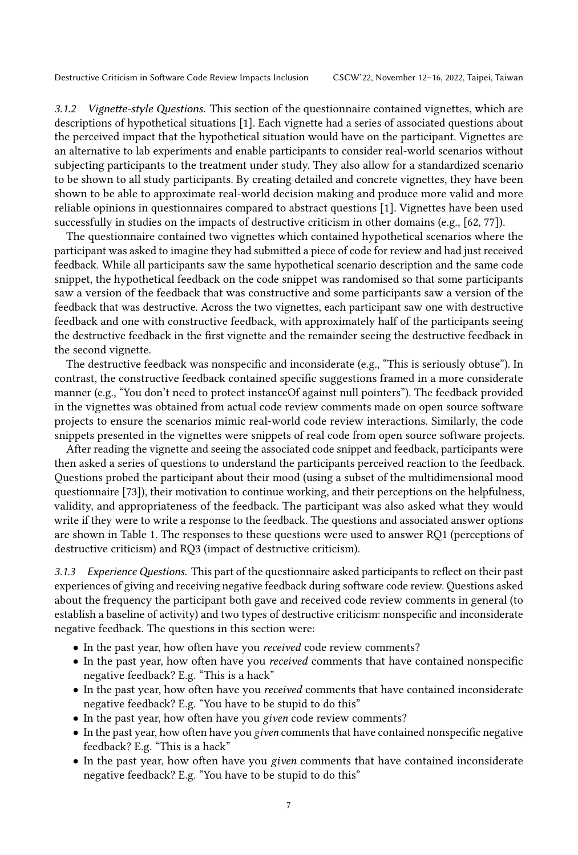3.1.2 Vignette-style Questions. This section of the questionnaire contained vignettes, which are descriptions of hypothetical situations [\[1\]](#page-25-12). Each vignette had a series of associated questions about the perceived impact that the hypothetical situation would have on the participant. Vignettes are an alternative to lab experiments and enable participants to consider real-world scenarios without subjecting participants to the treatment under study. They also allow for a standardized scenario to be shown to all study participants. By creating detailed and concrete vignettes, they have been shown to be able to approximate real-world decision making and produce more valid and more reliable opinions in questionnaires compared to abstract questions [\[1\]](#page-25-12). Vignettes have been used successfully in studies on the impacts of destructive criticism in other domains (e.g., [\[62,](#page-27-10) [77\]](#page-28-11)).

The questionnaire contained two vignettes which contained hypothetical scenarios where the participant was asked to imagine they had submitted a piece of code for review and had just received feedback. While all participants saw the same hypothetical scenario description and the same code snippet, the hypothetical feedback on the code snippet was randomised so that some participants saw a version of the feedback that was constructive and some participants saw a version of the feedback that was destructive. Across the two vignettes, each participant saw one with destructive feedback and one with constructive feedback, with approximately half of the participants seeing the destructive feedback in the first vignette and the remainder seeing the destructive feedback in the second vignette.

The destructive feedback was nonspecific and inconsiderate (e.g., "This is seriously obtuse"). In contrast, the constructive feedback contained specific suggestions framed in a more considerate manner (e.g., "You don't need to protect instanceOf against null pointers"). The feedback provided in the vignettes was obtained from actual code review comments made on open source software projects to ensure the scenarios mimic real-world code review interactions. Similarly, the code snippets presented in the vignettes were snippets of real code from open source software projects.

After reading the vignette and seeing the associated code snippet and feedback, participants were then asked a series of questions to understand the participants perceived reaction to the feedback. Questions probed the participant about their mood (using a subset of the multidimensional mood questionnaire [\[73\]](#page-28-12)), their motivation to continue working, and their perceptions on the helpfulness, validity, and appropriateness of the feedback. The participant was also asked what they would write if they were to write a response to the feedback. The questions and associated answer options are shown in Table [1.](#page-7-0) The responses to these questions were used to answer RQ1 (perceptions of destructive criticism) and RQ3 (impact of destructive criticism).

3.1.3 Experience Questions. This part of the questionnaire asked participants to reflect on their past experiences of giving and receiving negative feedback during software code review. Questions asked about the frequency the participant both gave and received code review comments in general (to establish a baseline of activity) and two types of destructive criticism: nonspecific and inconsiderate negative feedback. The questions in this section were:

- In the past year, how often have you received code review comments?
- In the past year, how often have you received comments that have contained nonspecific negative feedback? E.g. "This is a hack"
- In the past year, how often have you received comments that have contained inconsiderate negative feedback? E.g. "You have to be stupid to do this"
- In the past year, how often have you given code review comments?
- In the past year, how often have you given comments that have contained nonspecific negative feedback? E.g. "This is a hack"
- In the past year, how often have you given comments that have contained inconsiderate negative feedback? E.g. "You have to be stupid to do this"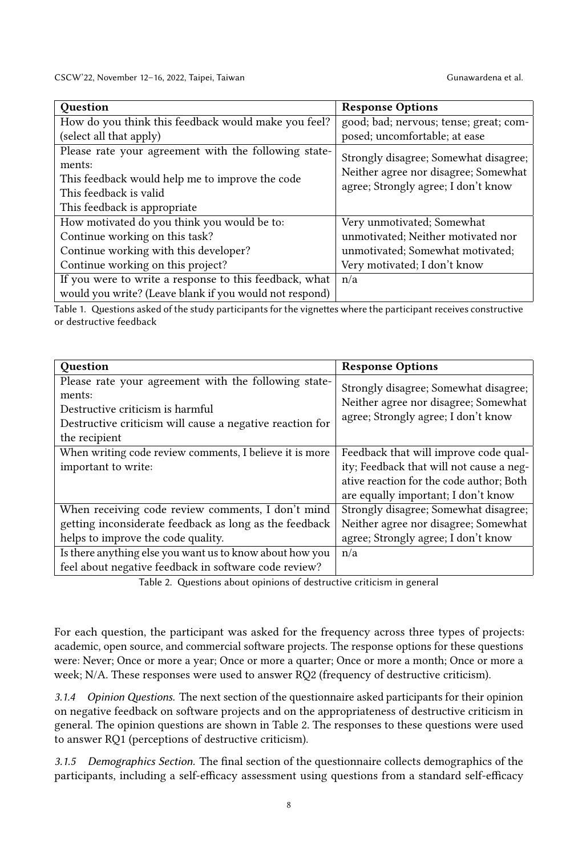CSCW'22, November 12-16, 2022, Taipei, Taiwan Gunawardena et al.

<span id="page-7-0"></span>

| <b>Ouestion</b>                                         | <b>Response Options</b>                |
|---------------------------------------------------------|----------------------------------------|
| How do you think this feedback would make you feel?     | good; bad; nervous; tense; great; com- |
| (select all that apply)                                 | posed; uncomfortable; at ease          |
| Please rate your agreement with the following state-    | Strongly disagree; Somewhat disagree;  |
| ments:                                                  | Neither agree nor disagree; Somewhat   |
| This feedback would help me to improve the code         | agree; Strongly agree; I don't know    |
| This feedback is valid                                  |                                        |
| This feedback is appropriate.                           |                                        |
| How motivated do you think you would be to:             | Very unmotivated; Somewhat             |
| Continue working on this task?                          | unmotivated; Neither motivated nor     |
| Continue working with this developer?                   | unmotivated; Somewhat motivated;       |
| Continue working on this project?                       | Very motivated; I don't know           |
| If you were to write a response to this feedback, what  | n/a                                    |
| would you write? (Leave blank if you would not respond) |                                        |

Table 1. Questions asked of the study participants for the vignettes where the participant receives constructive or destructive feedback

<span id="page-7-1"></span>

| <b>Ouestion</b>                                                                                                                                                                 | <b>Response Options</b>                                                                                                                                              |
|---------------------------------------------------------------------------------------------------------------------------------------------------------------------------------|----------------------------------------------------------------------------------------------------------------------------------------------------------------------|
| Please rate your agreement with the following state-<br>ments:<br>Destructive criticism is harmful<br>Destructive criticism will cause a negative reaction for<br>the recipient | Strongly disagree; Somewhat disagree;<br>Neither agree nor disagree; Somewhat<br>agree; Strongly agree; I don't know                                                 |
| When writing code review comments, I believe it is more<br>important to write:                                                                                                  | Feedback that will improve code qual-<br>ity; Feedback that will not cause a neg-<br>ative reaction for the code author; Both<br>are equally important; I don't know |
| When receiving code review comments, I don't mind<br>getting inconsiderate feedback as long as the feedback<br>helps to improve the code quality.                               | Strongly disagree; Somewhat disagree;<br>Neither agree nor disagree; Somewhat<br>agree; Strongly agree; I don't know                                                 |
| Is there anything else you want us to know about how you<br>feel about negative feedback in software code review?                                                               | n/a                                                                                                                                                                  |

Table 2. Questions about opinions of destructive criticism in general

For each question, the participant was asked for the frequency across three types of projects: academic, open source, and commercial software projects. The response options for these questions were: Never; Once or more a year; Once or more a quarter; Once or more a month; Once or more a week; N/A. These responses were used to answer RQ2 (frequency of destructive criticism).

3.1.4 Opinion Questions. The next section of the questionnaire asked participants for their opinion on negative feedback on software projects and on the appropriateness of destructive criticism in general. The opinion questions are shown in Table [2.](#page-7-1) The responses to these questions were used to answer RQ1 (perceptions of destructive criticism).

3.1.5 Demographics Section. The final section of the questionnaire collects demographics of the participants, including a self-efficacy assessment using questions from a standard self-efficacy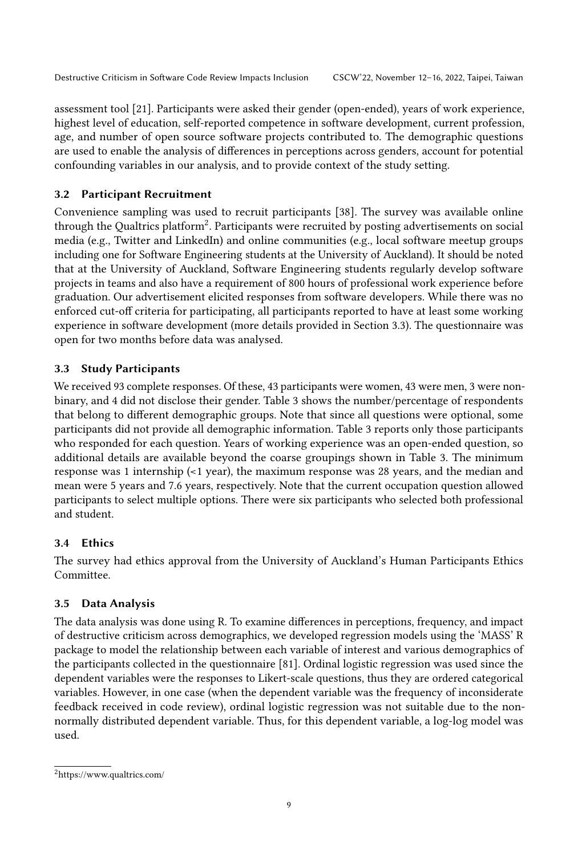assessment tool [\[21\]](#page-26-17). Participants were asked their gender (open-ended), years of work experience, highest level of education, self-reported competence in software development, current profession, age, and number of open source software projects contributed to. The demographic questions are used to enable the analysis of differences in perceptions across genders, account for potential confounding variables in our analysis, and to provide context of the study setting.

# 3.2 Participant Recruitment

Convenience sampling was used to recruit participants [\[38\]](#page-26-18). The survey was available online through the Qualtrics platform<sup>[2](#page-8-0)</sup>. Participants were recruited by posting advertisements on social media (e.g., Twitter and LinkedIn) and online communities (e.g., local software meetup groups including one for Software Engineering students at the University of Auckland). It should be noted that at the University of Auckland, Software Engineering students regularly develop software projects in teams and also have a requirement of 800 hours of professional work experience before graduation. Our advertisement elicited responses from software developers. While there was no enforced cut-off criteria for participating, all participants reported to have at least some working experience in software development (more details provided in Section [3.3\)](#page-8-1). The questionnaire was open for two months before data was analysed.

# <span id="page-8-1"></span>3.3 Study Participants

We received 93 complete responses. Of these, 43 participants were women, 43 were men, 3 were nonbinary, and 4 did not disclose their gender. Table [3](#page-9-0) shows the number/percentage of respondents that belong to different demographic groups. Note that since all questions were optional, some participants did not provide all demographic information. Table [3](#page-9-0) reports only those participants who responded for each question. Years of working experience was an open-ended question, so additional details are available beyond the coarse groupings shown in Table [3.](#page-9-0) The minimum response was 1 internship (<1 year), the maximum response was 28 years, and the median and mean were 5 years and 7.6 years, respectively. Note that the current occupation question allowed participants to select multiple options. There were six participants who selected both professional and student.

# 3.4 Ethics

The survey had ethics approval from the University of Auckland's Human Participants Ethics Committee.

# <span id="page-8-2"></span>3.5 Data Analysis

The data analysis was done using R. To examine differences in perceptions, frequency, and impact of destructive criticism across demographics, we developed regression models using the 'MASS' R package to model the relationship between each variable of interest and various demographics of the participants collected in the questionnaire [\[81\]](#page-28-13). Ordinal logistic regression was used since the dependent variables were the responses to Likert-scale questions, thus they are ordered categorical variables. However, in one case (when the dependent variable was the frequency of inconsiderate feedback received in code review), ordinal logistic regression was not suitable due to the nonnormally distributed dependent variable. Thus, for this dependent variable, a log-log model was used.

<span id="page-8-0"></span><sup>2</sup>https://www.qualtrics.com/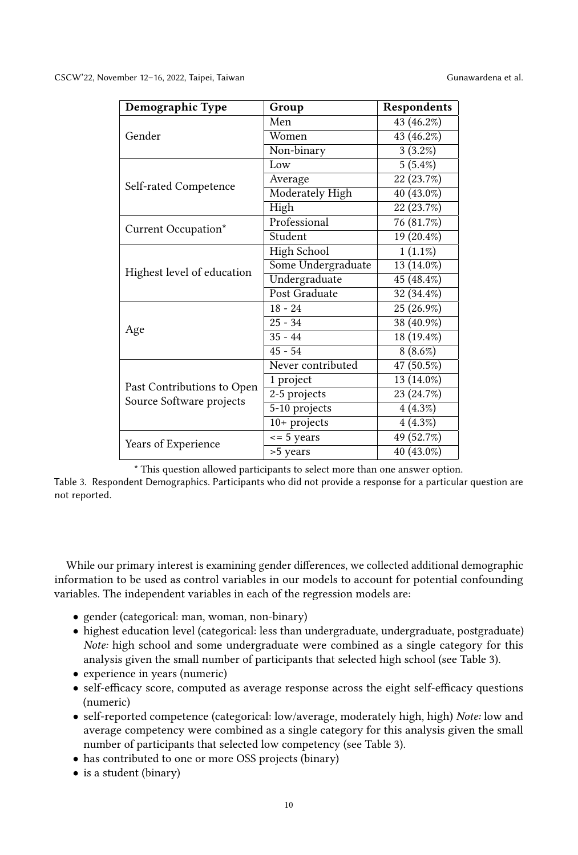<span id="page-9-0"></span>

| Demographic Type           | Group                | Respondents             |
|----------------------------|----------------------|-------------------------|
|                            | Men                  | 43 (46.2%)              |
| Gender                     | Women                | 43 (46.2%)              |
|                            | Non-binary           | 3(3.2%)                 |
|                            | Low                  | 5(5.4%)                 |
|                            | Average              | 22 (23.7%)              |
| Self-rated Competence      | Moderately High      | 40 (43.0%)              |
|                            | High                 | 22 (23.7%)              |
| Current Occupation*        | Professional         | 76 (81.7%)              |
|                            | Student              | 19 (20.4%)              |
|                            | High School          | $1(1.1\%)$              |
|                            | Some Undergraduate   | $\overline{13}$ (14.0%) |
| Highest level of education | Undergraduate        | 45 (48.4%)              |
|                            | <b>Post Graduate</b> | 32 (34.4%)              |
|                            | $18 - 24$            | 25 (26.9%)              |
|                            | $25 - 34$            | 38 (40.9%)              |
| Age                        | $35 - 44$            | 18 (19.4%)              |
|                            | $45 - 54$            | $8(8.6\%)$              |
|                            | Never contributed    | 47 (50.5%)              |
| Past Contributions to Open | 1 project            | 13 (14.0%)              |
| Source Software projects   | $2-5$ projects       | 23 (24.7%)              |
|                            | 5-10 projects        | 4(4.3%)                 |
|                            | $10+$ projects       | 4(4.3%)                 |
|                            | $\epsilon$ = 5 years | 49 (52.7%)              |
| Years of Experience        | >5 years             | $\overline{40}$ (43.0%) |

\* This question allowed participants to select more than one answer option.

Table 3. Respondent Demographics. Participants who did not provide a response for a particular question are not reported.

While our primary interest is examining gender differences, we collected additional demographic information to be used as control variables in our models to account for potential confounding variables. The independent variables in each of the regression models are:

- gender (categorical: man, woman, non-binary)
- highest education level (categorical: less than undergraduate, undergraduate, postgraduate) Note: high school and some undergraduate were combined as a single category for this analysis given the small number of participants that selected high school (see Table [3\)](#page-9-0).
- experience in years (numeric)
- self-efficacy score, computed as average response across the eight self-efficacy questions (numeric)
- self-reported competence (categorical: low/average, moderately high, high) Note: low and average competency were combined as a single category for this analysis given the small number of participants that selected low competency (see Table [3\)](#page-9-0).
- has contributed to one or more OSS projects (binary)
- is a student (binary)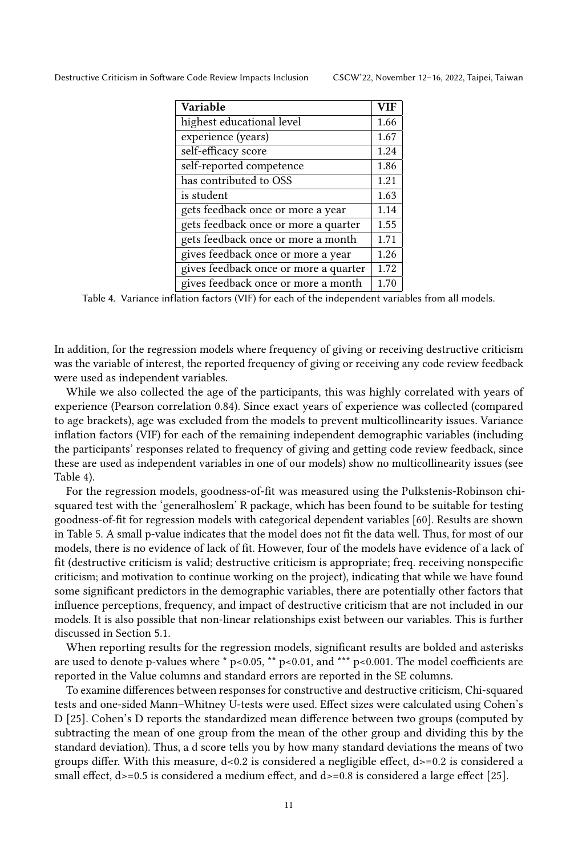<span id="page-10-0"></span>

| <b>Variable</b>                       | <b>VIF</b> |
|---------------------------------------|------------|
| highest educational level             | 1.66       |
| experience (years)                    | 1.67       |
| self-efficacy score                   | 1.24       |
| self-reported competence              | 1.86       |
| has contributed to OSS                | 1.21       |
| is student                            | 1.63       |
| gets feedback once or more a year     | 1.14       |
| gets feedback once or more a quarter  | 1.55       |
| gets feedback once or more a month    | 1.71       |
| gives feedback once or more a year    | 1.26       |
| gives feedback once or more a quarter | 1.72       |
| gives feedback once or more a month   | 1.70       |

Table 4. Variance inflation factors (VIF) for each of the independent variables from all models.

In addition, for the regression models where frequency of giving or receiving destructive criticism was the variable of interest, the reported frequency of giving or receiving any code review feedback were used as independent variables.

While we also collected the age of the participants, this was highly correlated with years of experience (Pearson correlation 0.84). Since exact years of experience was collected (compared to age brackets), age was excluded from the models to prevent multicollinearity issues. Variance inflation factors (VIF) for each of the remaining independent demographic variables (including the participants' responses related to frequency of giving and getting code review feedback, since these are used as independent variables in one of our models) show no multicollinearity issues (see Table [4\)](#page-10-0).

For the regression models, goodness-of-fit was measured using the Pulkstenis-Robinson chisquared test with the 'generalhoslem' R package, which has been found to be suitable for testing goodness-of-fit for regression models with categorical dependent variables [\[60\]](#page-27-19). Results are shown in Table [5.](#page-11-1) A small p-value indicates that the model does not fit the data well. Thus, for most of our models, there is no evidence of lack of fit. However, four of the models have evidence of a lack of fit (destructive criticism is valid; destructive criticism is appropriate; freq. receiving nonspecific criticism; and motivation to continue working on the project), indicating that while we have found some significant predictors in the demographic variables, there are potentially other factors that influence perceptions, frequency, and impact of destructive criticism that are not included in our models. It is also possible that non-linear relationships exist between our variables. This is further discussed in Section [5.1.](#page-20-1)

When reporting results for the regression models, significant results are bolded and asterisks are used to denote p-values where  $*$  p<0.05,  $**$  p<0.01, and  $***$  p<0.001. The model coefficients are reported in the Value columns and standard errors are reported in the SE columns.

To examine differences between responses for constructive and destructive criticism, Chi-squared tests and one-sided Mann–Whitney U-tests were used. Effect sizes were calculated using Cohen's D [\[25\]](#page-26-19). Cohen's D reports the standardized mean difference between two groups (computed by subtracting the mean of one group from the mean of the other group and dividing this by the standard deviation). Thus, a d score tells you by how many standard deviations the means of two groups differ. With this measure, d<0.2 is considered a negligible effect, d>=0.2 is considered a small effect,  $d$  >=0.5 is considered a medium effect, and  $d$  >=0.8 is considered a large effect [\[25\]](#page-26-19).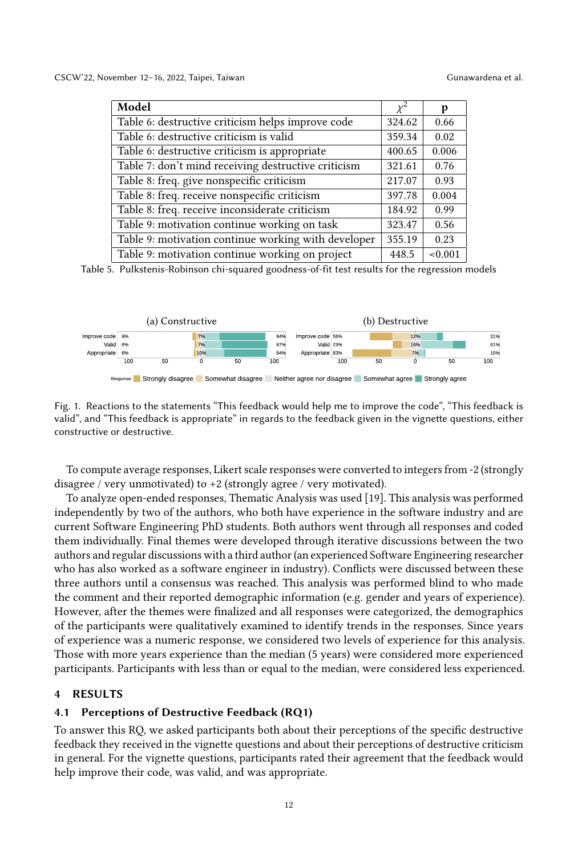<span id="page-11-1"></span>

| Model                                               | $\overline{\chi}^2$ | р       |
|-----------------------------------------------------|---------------------|---------|
| Table 6: destructive criticism helps improve code   | 324.62              | 0.66    |
| Table 6: destructive criticism is valid             | 359.34              | 0.02    |
| Table 6: destructive criticism is appropriate       | 400.65              | 0.006   |
| Table 7: don't mind receiving destructive criticism | 321.61              | 0.76    |
| Table 8: freq. give nonspecific criticism           | 217.07              | 0.93    |
| Table 8: freq. receive nonspecific criticism        | 397.78              | 0.004   |
| Table 8: freq. receive inconsiderate criticism      | 184.92              | 0.99    |
| Table 9: motivation continue working on task        | 323.47              | 0.56    |
| Table 9: motivation continue working with developer | 355.19              | 0.23    |
| Table 9: motivation continue working on project     | 448.5               | < 0.001 |

Table 5. Pulkstenis-Robinson chi-squared goodness-of-fit test results for the regression models

<span id="page-11-2"></span>

Fig. 1. Reactions to the statements "This feedback would help me to improve the code", "This feedback is valid", and "This feedback is appropriate" in regards to the feedback given in the vignette questions, either constructive or destructive.

To compute average responses, Likert scale responses were converted to integers from -2 (strongly disagree / very unmotivated) to +2 (strongly agree / very motivated).

To analyze open-ended responses, Thematic Analysis was used [\[19\]](#page-26-20). This analysis was performed independently by two of the authors, who both have experience in the software industry and are current Software Engineering PhD students. Both authors went through all responses and coded them individually. Final themes were developed through iterative discussions between the two authors and regular discussions with a third author (an experienced Software Engineering researcher who has also worked as a software engineer in industry). Conflicts were discussed between these three authors until a consensus was reached. This analysis was performed blind to who made the comment and their reported demographic information (e.g. gender and years of experience). However, after the themes were finalized and all responses were categorized, the demographics of the participants were qualitatively examined to identify trends in the responses. Since years of experience was a numeric response, we considered two levels of experience for this analysis. Those with more years experience than the median (5 years) were considered more experienced participants. Participants with less than or equal to the median, were considered less experienced.

## <span id="page-11-0"></span>4 RESULTS

#### 4.1 Perceptions of Destructive Feedback (RQ1)

To answer this RQ, we asked participants both about their perceptions of the specific destructive feedback they received in the vignette questions and about their perceptions of destructive criticism in general. For the vignette questions, participants rated their agreement that the feedback would help improve their code, was valid, and was appropriate.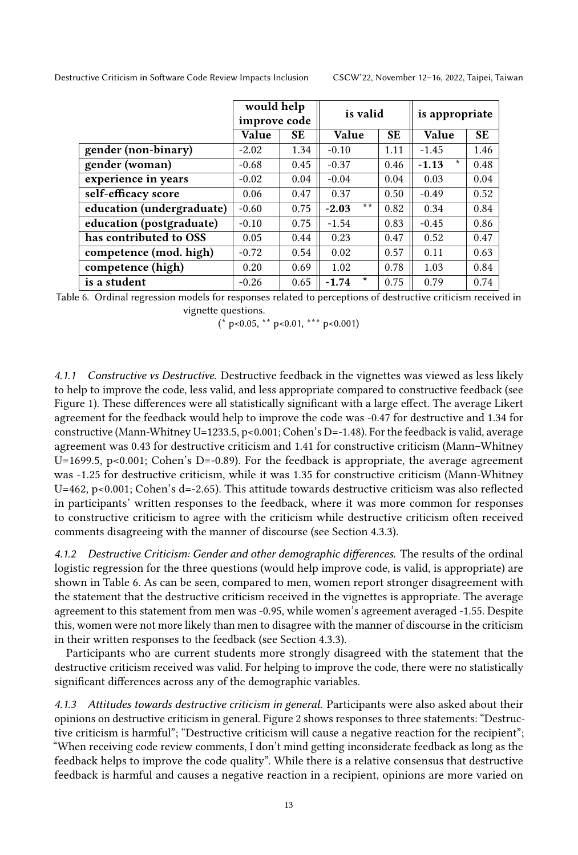<span id="page-12-0"></span>

|                           | would help<br>improve code |           | is valid           |           | is appropriate     |           |  |
|---------------------------|----------------------------|-----------|--------------------|-----------|--------------------|-----------|--|
|                           | Value                      | <b>SE</b> | <b>Value</b>       | <b>SE</b> | <b>Value</b>       | <b>SE</b> |  |
| gender (non-binary)       | $-2.02$                    | 1.34      | $-0.10$            | 1.11      | $-1.45$            | 1.46      |  |
| gender (woman)            | $-0.68$                    | 0.45      | $-0.37$            | 0.46      | $\star$<br>$-1.13$ | 0.48      |  |
| experience in years       | $-0.02$                    | 0.04      | $-0.04$            | 0.04      | 0.03               | 0.04      |  |
| self-efficacy score       | 0.06                       | 0.47      | 0.37               | 0.50      | $-0.49$            | 0.52      |  |
| education (undergraduate) | $-0.60$                    | 0.75      | $* *$<br>$-2.03$   | 0.82      | 0.34               | 0.84      |  |
| education (postgraduate)  | $-0.10$                    | 0.75      | $-1.54$            | 0.83      | $-0.45$            | 0.86      |  |
| has contributed to OSS    | 0.05                       | 0.44      | 0.23               | 0.47      | 0.52               | 0.47      |  |
| competence (mod. high)    | $-0.72$                    | 0.54      | 0.02               | 0.57      | 0.11               | 0.63      |  |
| competence (high)         | 0.20                       | 0.69      | 1.02               | 0.78      | 1.03               | 0.84      |  |
| is a student              | $-0.26$                    | 0.65      | $\star$<br>$-1.74$ | 0.75      | 0.79               | 0.74      |  |

Table 6. Ordinal regression models for responses related to perceptions of destructive criticism received in vignette questions.

 $(* p<0.05, ** p<0.01, ** p<0.001)$ 

4.1.1 Constructive vs Destructive. Destructive feedback in the vignettes was viewed as less likely to help to improve the code, less valid, and less appropriate compared to constructive feedback (see Figure [1\)](#page-11-2). These differences were all statistically significant with a large effect. The average Likert agreement for the feedback would help to improve the code was -0.47 for destructive and 1.34 for constructive (Mann-Whitney U=1233.5, p<0.001; Cohen's D=-1.48). For the feedback is valid, average agreement was 0.43 for destructive criticism and 1.41 for constructive criticism (Mann–Whitney U=1699.5, p<0.001; Cohen's D=-0.89). For the feedback is appropriate, the average agreement was -1.25 for destructive criticism, while it was 1.35 for constructive criticism (Mann-Whitney U=462, p<0.001; Cohen's d=-2.65). This attitude towards destructive criticism was also reflected in participants' written responses to the feedback, where it was more common for responses to constructive criticism to agree with the criticism while destructive criticism often received comments disagreeing with the manner of discourse (see Section [4.3.3\)](#page-18-0).

4.1.2 Destructive Criticism: Gender and other demographic differences. The results of the ordinal logistic regression for the three questions (would help improve code, is valid, is appropriate) are shown in Table [6.](#page-12-0) As can be seen, compared to men, women report stronger disagreement with the statement that the destructive criticism received in the vignettes is appropriate. The average agreement to this statement from men was -0.95, while women's agreement averaged -1.55. Despite this, women were not more likely than men to disagree with the manner of discourse in the criticism in their written responses to the feedback (see Section [4.3.3\)](#page-18-0).

Participants who are current students more strongly disagreed with the statement that the destructive criticism received was valid. For helping to improve the code, there were no statistically significant differences across any of the demographic variables.

4.1.3 Attitudes towards destructive criticism in general. Participants were also asked about their opinions on destructive criticism in general. Figure [2](#page-13-1) shows responses to three statements: "Destructive criticism is harmful"; "Destructive criticism will cause a negative reaction for the recipient"; "When receiving code review comments, I don't mind getting inconsiderate feedback as long as the feedback helps to improve the code quality". While there is a relative consensus that destructive feedback is harmful and causes a negative reaction in a recipient, opinions are more varied on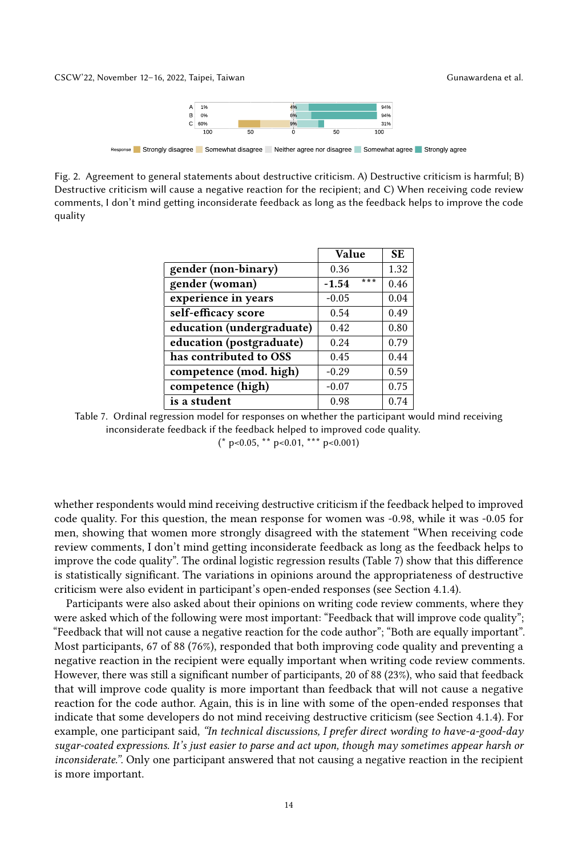<span id="page-13-1"></span>CSCW'22, November 12-16, 2022, Taipei, Taiwan Gunawardena et al.



Response Strongly disagree Somewhat disagree Neither agree nor disagree Somewhat agree Strongly agree

<span id="page-13-0"></span>Fig. 2. Agreement to general statements about destructive criticism. A) Destructive criticism is harmful; B) Destructive criticism will cause a negative reaction for the recipient; and C) When receiving code review comments, I don't mind getting inconsiderate feedback as long as the feedback helps to improve the code quality

|                           | <b>Value</b>   | <b>SE</b> |
|---------------------------|----------------|-----------|
| gender (non-binary)       | 0.36           | 1.32      |
| gender (woman)            | ***<br>$-1.54$ | 0.46      |
| experience in years       | $-0.05$        | 0.04      |
| self-efficacy score       | 0.54           | 0.49      |
| education (undergraduate) | 0.42           | 0.80      |
| education (postgraduate)  | 0.24           | 0.79      |
| has contributed to OSS    | 0.45           | 0.44      |
| competence (mod. high)    | $-0.29$        | 0.59      |
| competence (high)         | $-0.07$        | 0.75      |
| is a student              | 0.98           | 0.74      |

Table 7. Ordinal regression model for responses on whether the participant would mind receiving inconsiderate feedback if the feedback helped to improved code quality.

 $(* p<0.05, ** p<0.01, ** p<0.001)$ 

whether respondents would mind receiving destructive criticism if the feedback helped to improved code quality. For this question, the mean response for women was -0.98, while it was -0.05 for men, showing that women more strongly disagreed with the statement "When receiving code review comments, I don't mind getting inconsiderate feedback as long as the feedback helps to improve the code quality". The ordinal logistic regression results (Table [7\)](#page-13-0) show that this difference is statistically significant. The variations in opinions around the appropriateness of destructive criticism were also evident in participant's open-ended responses (see Section [4.1.4\)](#page-14-0).

Participants were also asked about their opinions on writing code review comments, where they were asked which of the following were most important: "Feedback that will improve code quality"; "Feedback that will not cause a negative reaction for the code author"; "Both are equally important". Most participants, 67 of 88 (76%), responded that both improving code quality and preventing a negative reaction in the recipient were equally important when writing code review comments. However, there was still a significant number of participants, 20 of 88 (23%), who said that feedback that will improve code quality is more important than feedback that will not cause a negative reaction for the code author. Again, this is in line with some of the open-ended responses that indicate that some developers do not mind receiving destructive criticism (see Section [4.1.4\)](#page-14-0). For example, one participant said, "In technical discussions, I prefer direct wording to have-a-good-day sugar-coated expressions. It's just easier to parse and act upon, though may sometimes appear harsh or inconsiderate.". Only one participant answered that not causing a negative reaction in the recipient is more important.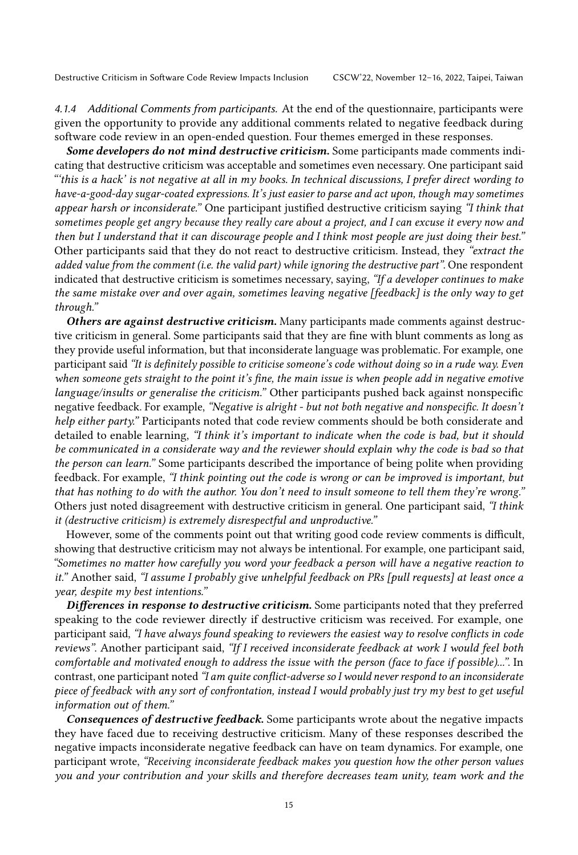<span id="page-14-0"></span>4.1.4 Additional Comments from participants. At the end of the questionnaire, participants were given the opportunity to provide any additional comments related to negative feedback during software code review in an open-ended question. Four themes emerged in these responses.

Some developers do not mind destructive criticism. Some participants made comments indicating that destructive criticism was acceptable and sometimes even necessary. One participant said "'this is a hack' is not negative at all in my books. In technical discussions, I prefer direct wording to have-a-good-day sugar-coated expressions. It's just easier to parse and act upon, though may sometimes appear harsh or inconsiderate." One participant justified destructive criticism saying "I think that sometimes people get angry because they really care about a project, and I can excuse it every now and then but I understand that it can discourage people and I think most people are just doing their best." Other participants said that they do not react to destructive criticism. Instead, they "extract the added value from the comment (i.e. the valid part) while ignoring the destructive part". One respondent indicated that destructive criticism is sometimes necessary, saying, "If a developer continues to make the same mistake over and over again, sometimes leaving negative [feedback] is the only way to get through."

Others are against destructive criticism. Many participants made comments against destructive criticism in general. Some participants said that they are fine with blunt comments as long as they provide useful information, but that inconsiderate language was problematic. For example, one participant said "It is definitely possible to criticise someone's code without doing so in a rude way. Even when someone gets straight to the point it's fine, the main issue is when people add in negative emotive language/insults or generalise the criticism." Other participants pushed back against nonspecific negative feedback. For example, "Negative is alright - but not both negative and nonspecific. It doesn't help either party." Participants noted that code review comments should be both considerate and detailed to enable learning, "I think it's important to indicate when the code is bad, but it should be communicated in a considerate way and the reviewer should explain why the code is bad so that the person can learn." Some participants described the importance of being polite when providing feedback. For example, "I think pointing out the code is wrong or can be improved is important, but that has nothing to do with the author. You don't need to insult someone to tell them they're wrong." Others just noted disagreement with destructive criticism in general. One participant said, "I think it (destructive criticism) is extremely disrespectful and unproductive."

However, some of the comments point out that writing good code review comments is difficult, showing that destructive criticism may not always be intentional. For example, one participant said, "Sometimes no matter how carefully you word your feedback a person will have a negative reaction to it." Another said, "I assume I probably give unhelpful feedback on PRs [pull requests] at least once a year, despite my best intentions."

Differences in response to destructive criticism. Some participants noted that they preferred speaking to the code reviewer directly if destructive criticism was received. For example, one participant said, "I have always found speaking to reviewers the easiest way to resolve conflicts in code reviews". Another participant said, "If I received inconsiderate feedback at work I would feel both comfortable and motivated enough to address the issue with the person (face to face if possible)...". In contrast, one participant noted "I am quite conflict-adverse so I would never respond to an inconsiderate piece of feedback with any sort of confrontation, instead I would probably just try my best to get useful information out of them."

Consequences of destructive feedback. Some participants wrote about the negative impacts they have faced due to receiving destructive criticism. Many of these responses described the negative impacts inconsiderate negative feedback can have on team dynamics. For example, one participant wrote, "Receiving inconsiderate feedback makes you question how the other person values you and your contribution and your skills and therefore decreases team unity, team work and the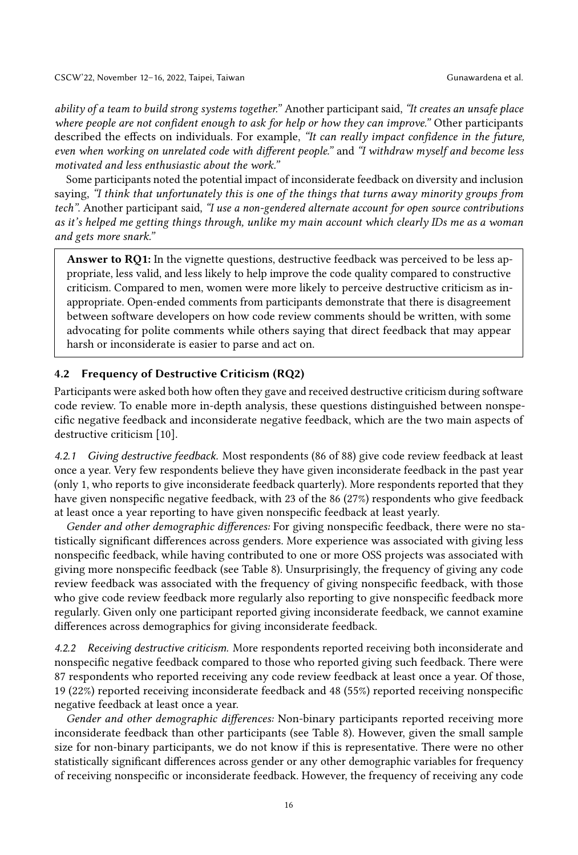ability of a team to build strong systems together." Another participant said, "It creates an unsafe place where people are not confident enough to ask for help or how they can improve." Other participants described the effects on individuals. For example, "It can really impact confidence in the future, even when working on unrelated code with different people." and "I withdraw myself and become less motivated and less enthusiastic about the work."

Some participants noted the potential impact of inconsiderate feedback on diversity and inclusion saying, "I think that unfortunately this is one of the things that turns away minority groups from tech". Another participant said, "I use a non-gendered alternate account for open source contributions as it's helped me getting things through, unlike my main account which clearly IDs me as a woman and gets more snark."

Answer to RO1: In the vignette questions, destructive feedback was perceived to be less appropriate, less valid, and less likely to help improve the code quality compared to constructive criticism. Compared to men, women were more likely to perceive destructive criticism as inappropriate. Open-ended comments from participants demonstrate that there is disagreement between software developers on how code review comments should be written, with some advocating for polite comments while others saying that direct feedback that may appear harsh or inconsiderate is easier to parse and act on.

### 4.2 Frequency of Destructive Criticism (RQ2)

Participants were asked both how often they gave and received destructive criticism during software code review. To enable more in-depth analysis, these questions distinguished between nonspecific negative feedback and inconsiderate negative feedback, which are the two main aspects of destructive criticism [\[10\]](#page-25-3).

4.2.1 Giving destructive feedback. Most respondents (86 of 88) give code review feedback at least once a year. Very few respondents believe they have given inconsiderate feedback in the past year (only 1, who reports to give inconsiderate feedback quarterly). More respondents reported that they have given nonspecific negative feedback, with 23 of the 86 (27%) respondents who give feedback at least once a year reporting to have given nonspecific feedback at least yearly.

Gender and other demographic differences: For giving nonspecific feedback, there were no statistically significant differences across genders. More experience was associated with giving less nonspecific feedback, while having contributed to one or more OSS projects was associated with giving more nonspecific feedback (see Table [8\)](#page-16-0). Unsurprisingly, the frequency of giving any code review feedback was associated with the frequency of giving nonspecific feedback, with those who give code review feedback more regularly also reporting to give nonspecific feedback more regularly. Given only one participant reported giving inconsiderate feedback, we cannot examine differences across demographics for giving inconsiderate feedback.

4.2.2 Receiving destructive criticism. More respondents reported receiving both inconsiderate and nonspecific negative feedback compared to those who reported giving such feedback. There were 87 respondents who reported receiving any code review feedback at least once a year. Of those, 19 (22%) reported receiving inconsiderate feedback and 48 (55%) reported receiving nonspecific negative feedback at least once a year.

Gender and other demographic differences: Non-binary participants reported receiving more inconsiderate feedback than other participants (see Table [8\)](#page-16-0). However, given the small sample size for non-binary participants, we do not know if this is representative. There were no other statistically significant differences across gender or any other demographic variables for frequency of receiving nonspecific or inconsiderate feedback. However, the frequency of receiving any code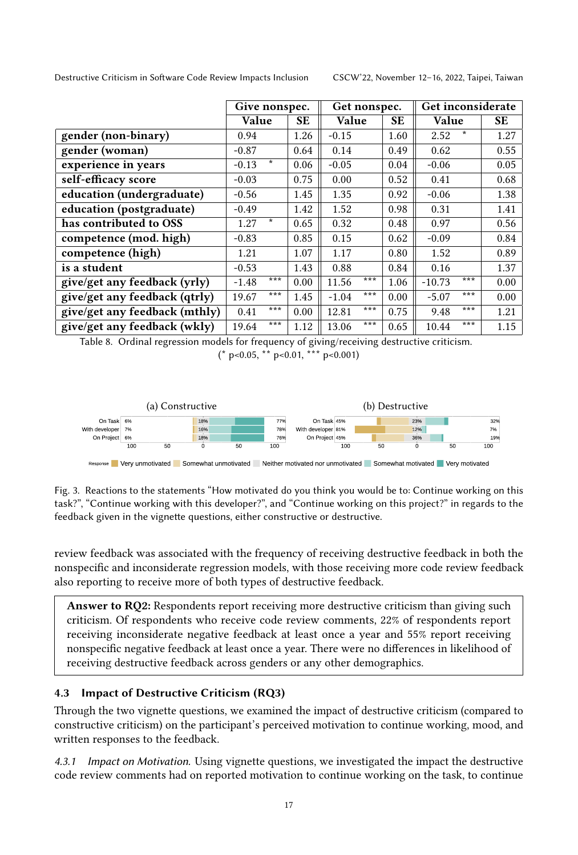<span id="page-16-0"></span>

|                               | Give nonspec. |         | Get nonspec. |         |     | Get inconsiderate |              |        |           |
|-------------------------------|---------------|---------|--------------|---------|-----|-------------------|--------------|--------|-----------|
|                               | Value         |         | SE           | Value   |     | SE.               | <b>Value</b> |        | <b>SE</b> |
| gender (non-binary)           | 0.94          |         | 1.26         | $-0.15$ |     | 1.60              | 2.52         | $\ast$ | 1.27      |
| gender (woman)                | $-0.87$       |         | 0.64         | 0.14    |     | 0.49              | 0.62         |        | 0.55      |
| experience in years           | $-0.13$       | $\ast$  | 0.06         | $-0.05$ |     | 0.04              | $-0.06$      |        | 0.05      |
| self-efficacy score           | $-0.03$       |         | 0.75         | 0.00    |     | 0.52              | 0.41         |        | 0.68      |
| education (undergraduate)     | $-0.56$       |         | 1.45         | 1.35    |     | 0.92              | $-0.06$      |        | 1.38      |
| education (postgraduate)      | $-0.49$       |         | 1.42         | 1.52    |     | 0.98              | 0.31         |        | 1.41      |
| has contributed to OSS        | 1.27          | $\star$ | 0.65         | 0.32    |     | 0.48              | 0.97         |        | 0.56      |
| competence (mod. high)        | $-0.83$       |         | 0.85         | 0.15    |     | 0.62              | $-0.09$      |        | 0.84      |
| competence (high)             | 1.21          |         | 1.07         | 1.17    |     | 0.80              | 1.52         |        | 0.89      |
| is a student                  | $-0.53$       |         | 1.43         | 0.88    |     | 0.84              | 0.16         |        | 1.37      |
| give/get any feedback (yrly)  | $-1.48$       | ***     | 0.00         | 11.56   | *** | 1.06              | $-10.73$     | ***    | 0.00      |
| give/get any feedback (qtrly) | 19.67         | ***     | 1.45         | $-1.04$ | *** | 0.00              | $-5.07$      | ***    | 0.00      |
| give/get any feedback (mthly) | 0.41          | ***     | 0.00         | 12.81   | *** | 0.75              | 9.48         | ***    | 1.21      |
| give/get any feedback (wkly)  | 19.64         | ***     | 1.12         | 13.06   | *** | 0.65              | 10.44        | ***    | 1.15      |

Table 8. Ordinal regression models for frequency of giving/receiving destructive criticism.

 $(* p<0.05, ** p<0.01, ** p<0.001)$ 

<span id="page-16-1"></span>

Response Very unmotivated Somewhat unmotivated Neither motivated nor unmotivated Somewhat motivated Very motivated

Fig. 3. Reactions to the statements "How motivated do you think you would be to: Continue working on this task?", "Continue working with this developer?", and "Continue working on this project?" in regards to the feedback given in the vignette questions, either constructive or destructive.

review feedback was associated with the frequency of receiving destructive feedback in both the nonspecific and inconsiderate regression models, with those receiving more code review feedback also reporting to receive more of both types of destructive feedback.

Answer to RQ2: Respondents report receiving more destructive criticism than giving such criticism. Of respondents who receive code review comments, 22% of respondents report receiving inconsiderate negative feedback at least once a year and 55% report receiving nonspecific negative feedback at least once a year. There were no differences in likelihood of receiving destructive feedback across genders or any other demographics.

# 4.3 Impact of Destructive Criticism (RQ3)

Through the two vignette questions, we examined the impact of destructive criticism (compared to constructive criticism) on the participant's perceived motivation to continue working, mood, and written responses to the feedback.

4.3.1 Impact on Motivation. Using vignette questions, we investigated the impact the destructive code review comments had on reported motivation to continue working on the task, to continue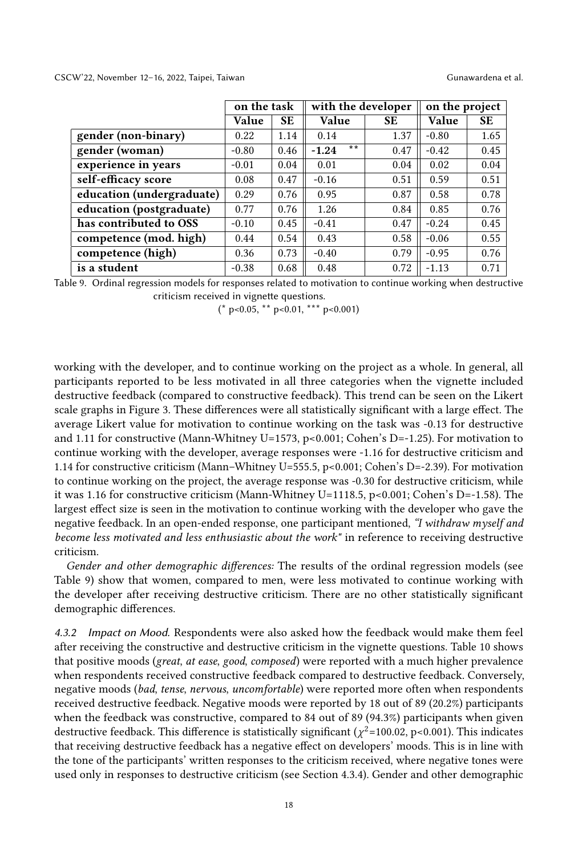CSCW'22, November 12–16, 2022, Taipei, Taiwan Gunawardena et al.

<span id="page-17-0"></span>

|                           | with the developer<br>on the task |           |                         | on the project |         |           |
|---------------------------|-----------------------------------|-----------|-------------------------|----------------|---------|-----------|
|                           | Value                             | <b>SE</b> | Value                   | <b>SE</b>      | Value   | <b>SE</b> |
| gender (non-binary)       | 0.22                              | 1.14      | 0.14                    | 1.37           | $-0.80$ | 1.65      |
| gender (woman)            | $-0.80$                           | 0.46      | $\star\star$<br>$-1.24$ | 0.47           | $-0.42$ | 0.45      |
| experience in years       | $-0.01$                           | 0.04      | 0.01                    | 0.04           | 0.02    | 0.04      |
| self-efficacy score       | 0.08                              | 0.47      | $-0.16$                 | 0.51           | 0.59    | 0.51      |
| education (undergraduate) | 0.29                              | 0.76      | 0.95                    | 0.87           | 0.58    | 0.78      |
| education (postgraduate)  | 0.77                              | 0.76      | 1.26                    | 0.84           | 0.85    | 0.76      |
| has contributed to OSS    | $-0.10$                           | 0.45      | $-0.41$                 | 0.47           | $-0.24$ | 0.45      |
| competence (mod. high)    | 0.44                              | 0.54      | 0.43                    | 0.58           | $-0.06$ | 0.55      |
| competence (high)         | 0.36                              | 0.73      | $-0.40$                 | 0.79           | $-0.95$ | 0.76      |
| is a student              | $-0.38$                           | 0.68      | 0.48                    | 0.72           | $-1.13$ | 0.71      |

Table 9. Ordinal regression models for responses related to motivation to continue working when destructive criticism received in vignette questions.

 $(* p<0.05, ** p<0.01, ** p<0.001)$ 

working with the developer, and to continue working on the project as a whole. In general, all participants reported to be less motivated in all three categories when the vignette included destructive feedback (compared to constructive feedback). This trend can be seen on the Likert scale graphs in Figure [3.](#page-16-1) These differences were all statistically significant with a large effect. The average Likert value for motivation to continue working on the task was -0.13 for destructive and 1.11 for constructive (Mann-Whitney U=1573, p<0.001; Cohen's D=-1.25). For motivation to continue working with the developer, average responses were -1.16 for destructive criticism and 1.14 for constructive criticism (Mann–Whitney U=555.5, p<0.001; Cohen's D=-2.39). For motivation to continue working on the project, the average response was -0.30 for destructive criticism, while it was 1.16 for constructive criticism (Mann-Whitney U=1118.5, p<0.001; Cohen's D=-1.58). The largest effect size is seen in the motivation to continue working with the developer who gave the negative feedback. In an open-ended response, one participant mentioned, "I withdraw myself and become less motivated and less enthusiastic about the work" in reference to receiving destructive criticism.

Gender and other demographic differences: The results of the ordinal regression models (see Table [9\)](#page-17-0) show that women, compared to men, were less motivated to continue working with the developer after receiving destructive criticism. There are no other statistically significant demographic differences.

4.3.2 Impact on Mood. Respondents were also asked how the feedback would make them feel after receiving the constructive and destructive criticism in the vignette questions. Table [10](#page-18-1) shows that positive moods (great, at ease, good, composed) were reported with a much higher prevalence when respondents received constructive feedback compared to destructive feedback. Conversely, negative moods (bad, tense, nervous, uncomfortable) were reported more often when respondents received destructive feedback. Negative moods were reported by 18 out of 89 (20.2%) participants when the feedback was constructive, compared to 84 out of 89 (94.3%) participants when given destructive feedback. This difference is statistically significant ( $\chi^2$ =100.02, p<0.001). This indicates that receiving destructive feedback has a negative effect on developers' moods. This is in line with the tone of the participants' written responses to the criticism received, where negative tones were used only in responses to destructive criticism (see Section [4.3.4\)](#page-19-0). Gender and other demographic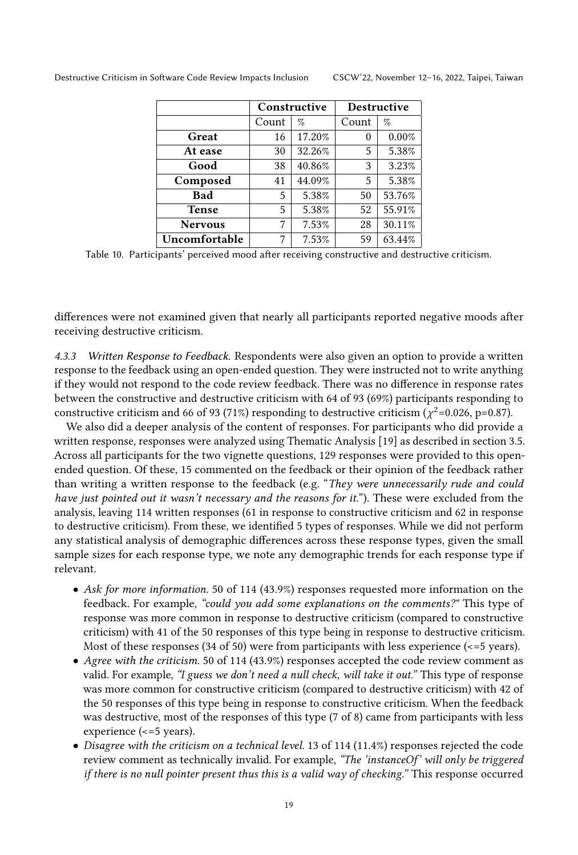<span id="page-18-1"></span>

|                |       | Constructive | Destructive |        |  |
|----------------|-------|--------------|-------------|--------|--|
|                | Count | %            | Count       | $\%$   |  |
| Great          | 16    | 17.20%       | 0           | 0.00%  |  |
| At ease        | 30    | 32.26%       | 5           | 5.38%  |  |
| Good           | 38    | 40.86%       | 3           | 3.23%  |  |
| Composed       | 41    | 44.09%       | 5           | 5.38%  |  |
| <b>Bad</b>     | 5     | 5.38%        | 50          | 53.76% |  |
| <b>Tense</b>   | 5     | 5.38%        | 52          | 55.91% |  |
| <b>Nervous</b> | 7     | 7.53%        | 28          | 30.11% |  |
| Uncomfortable  | 7     | 7.53%        | 59          | 63.44% |  |

Table 10. Participants' perceived mood after receiving constructive and destructive criticism.

differences were not examined given that nearly all participants reported negative moods after receiving destructive criticism.

<span id="page-18-0"></span>4.3.3 Written Response to Feedback. Respondents were also given an option to provide a written response to the feedback using an open-ended question. They were instructed not to write anything if they would not respond to the code review feedback. There was no difference in response rates between the constructive and destructive criticism with 64 of 93 (69%) participants responding to constructive criticism and 66 of 93 (71%) responding to destructive criticism ( $\chi^2$ =0.026, p=0.87).

We also did a deeper analysis of the content of responses. For participants who did provide a written response, responses were analyzed using Thematic Analysis [\[19\]](#page-26-20) as described in section [3.5.](#page-8-2) Across all participants for the two vignette questions, 129 responses were provided to this openended question. Of these, 15 commented on the feedback or their opinion of the feedback rather than writing a written response to the feedback (e.g. "They were unnecessarily rude and could have just pointed out it wasn't necessary and the reasons for it."). These were excluded from the analysis, leaving 114 written responses (61 in response to constructive criticism and 62 in response to destructive criticism). From these, we identified 5 types of responses. While we did not perform any statistical analysis of demographic differences across these response types, given the small sample sizes for each response type, we note any demographic trends for each response type if relevant.

- Ask for more information. 50 of 114 (43.9%) responses requested more information on the feedback. For example, "could you add some explanations on the comments?" This type of response was more common in response to destructive criticism (compared to constructive criticism) with 41 of the 50 responses of this type being in response to destructive criticism. Most of these responses (34 of 50) were from participants with less experience (<=5 years).
- Agree with the criticism. 50 of 114 (43.9%) responses accepted the code review comment as valid. For example, "I guess we don't need a null check, will take it out." This type of response was more common for constructive criticism (compared to destructive criticism) with 42 of the 50 responses of this type being in response to constructive criticism. When the feedback was destructive, most of the responses of this type (7 of 8) came from participants with less experience (<=5 years).
- Disagree with the criticism on a technical level. 13 of 114 (11.4%) responses rejected the code review comment as technically invalid. For example, "The 'instanceOf' will only be triggered if there is no null pointer present thus this is a valid way of checking." This response occurred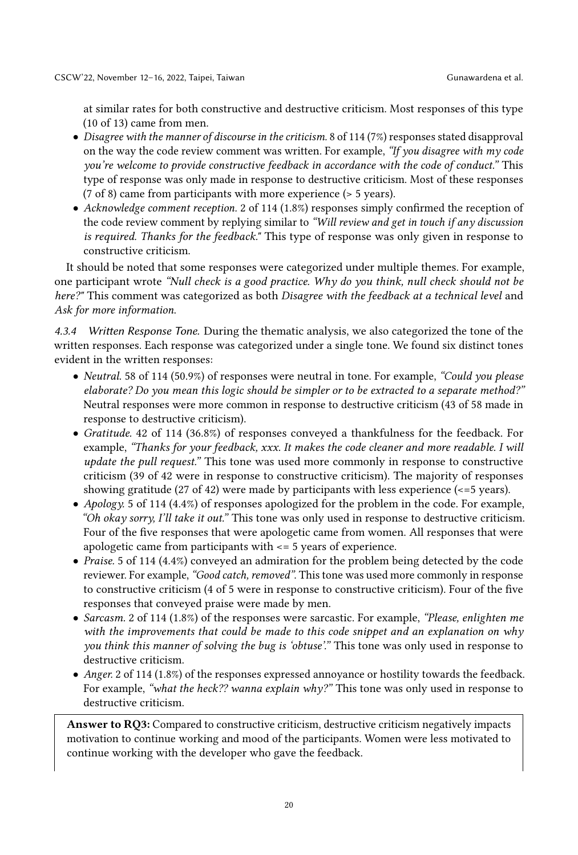at similar rates for both constructive and destructive criticism. Most responses of this type (10 of 13) came from men.

- Disagree with the manner of discourse in the criticism. 8 of 114 (7%) responses stated disapproval on the way the code review comment was written. For example, "If you disagree with  $my$  code you're welcome to provide constructive feedback in accordance with the code of conduct." This type of response was only made in response to destructive criticism. Most of these responses (7 of 8) came from participants with more experience (> 5 years).
- Acknowledge comment reception. 2 of 114 (1.8%) responses simply confirmed the reception of the code review comment by replying similar to "Will review and get in touch if any discussion is required. Thanks for the feedback." This type of response was only given in response to constructive criticism.

It should be noted that some responses were categorized under multiple themes. For example, one participant wrote "Null check is a good practice. Why do you think, null check should not be here?" This comment was categorized as both Disagree with the feedback at a technical level and Ask for more information.

<span id="page-19-0"></span>4.3.4 Written Response Tone. During the thematic analysis, we also categorized the tone of the written responses. Each response was categorized under a single tone. We found six distinct tones evident in the written responses:

- *Neutral.* 58 of 114 (50.9%) of responses were neutral in tone. For example, "Could you please elaborate? Do you mean this logic should be simpler or to be extracted to a separate method?" Neutral responses were more common in response to destructive criticism (43 of 58 made in response to destructive criticism).
- Gratitude. 42 of 114 (36.8%) of responses conveyed a thankfulness for the feedback. For example, "Thanks for your feedback, xxx. It makes the code cleaner and more readable. I will update the pull request." This tone was used more commonly in response to constructive criticism (39 of 42 were in response to constructive criticism). The majority of responses showing gratitude (27 of 42) were made by participants with less experience (<=5 years).
- Apology. 5 of 114 (4.4%) of responses apologized for the problem in the code. For example, "Oh okay sorry, I'll take it out." This tone was only used in response to destructive criticism. Four of the five responses that were apologetic came from women. All responses that were apologetic came from participants with <= 5 years of experience.
- Praise. 5 of 114 (4.4%) conveyed an admiration for the problem being detected by the code reviewer. For example, "Good catch, removed". This tone was used more commonly in response to constructive criticism (4 of 5 were in response to constructive criticism). Four of the five responses that conveyed praise were made by men.
- Sarcasm. 2 of 114 (1.8%) of the responses were sarcastic. For example, "Please, enlighten me with the improvements that could be made to this code snippet and an explanation on why you think this manner of solving the bug is 'obtuse'." This tone was only used in response to destructive criticism.
- Anger. 2 of 114 (1.8%) of the responses expressed annoyance or hostility towards the feedback. For example, "what the heck?? wanna explain why?" This tone was only used in response to destructive criticism.

Answer to RQ3: Compared to constructive criticism, destructive criticism negatively impacts motivation to continue working and mood of the participants. Women were less motivated to continue working with the developer who gave the feedback.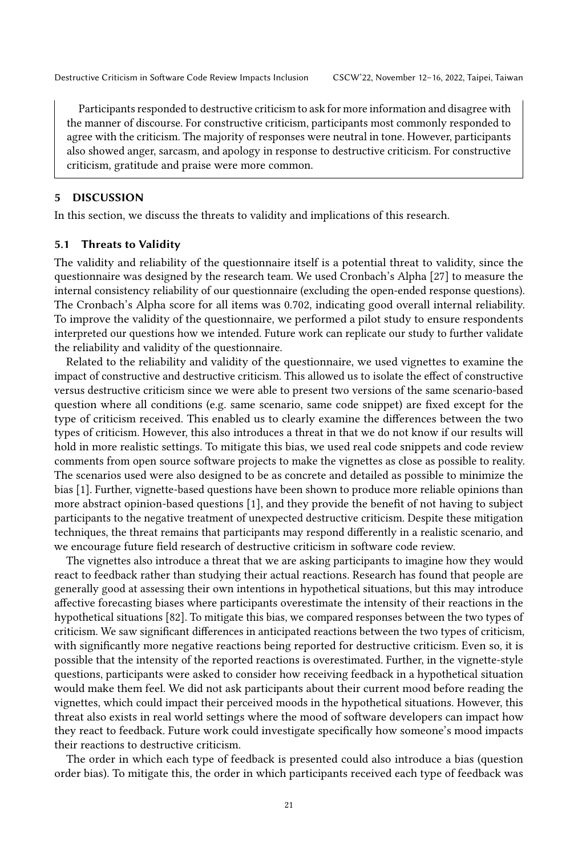Participants responded to destructive criticism to ask for more information and disagree with the manner of discourse. For constructive criticism, participants most commonly responded to agree with the criticism. The majority of responses were neutral in tone. However, participants also showed anger, sarcasm, and apology in response to destructive criticism. For constructive criticism, gratitude and praise were more common.

### <span id="page-20-0"></span>5 DISCUSSION

In this section, we discuss the threats to validity and implications of this research.

### <span id="page-20-1"></span>5.1 Threats to Validity

The validity and reliability of the questionnaire itself is a potential threat to validity, since the questionnaire was designed by the research team. We used Cronbach's Alpha [\[27\]](#page-26-21) to measure the internal consistency reliability of our questionnaire (excluding the open-ended response questions). The Cronbach's Alpha score for all items was 0.702, indicating good overall internal reliability. To improve the validity of the questionnaire, we performed a pilot study to ensure respondents interpreted our questions how we intended. Future work can replicate our study to further validate the reliability and validity of the questionnaire.

Related to the reliability and validity of the questionnaire, we used vignettes to examine the impact of constructive and destructive criticism. This allowed us to isolate the effect of constructive versus destructive criticism since we were able to present two versions of the same scenario-based question where all conditions (e.g. same scenario, same code snippet) are fixed except for the type of criticism received. This enabled us to clearly examine the differences between the two types of criticism. However, this also introduces a threat in that we do not know if our results will hold in more realistic settings. To mitigate this bias, we used real code snippets and code review comments from open source software projects to make the vignettes as close as possible to reality. The scenarios used were also designed to be as concrete and detailed as possible to minimize the bias [\[1\]](#page-25-12). Further, vignette-based questions have been shown to produce more reliable opinions than more abstract opinion-based questions [\[1\]](#page-25-12), and they provide the benefit of not having to subject participants to the negative treatment of unexpected destructive criticism. Despite these mitigation techniques, the threat remains that participants may respond differently in a realistic scenario, and we encourage future field research of destructive criticism in software code review.

The vignettes also introduce a threat that we are asking participants to imagine how they would react to feedback rather than studying their actual reactions. Research has found that people are generally good at assessing their own intentions in hypothetical situations, but this may introduce affective forecasting biases where participants overestimate the intensity of their reactions in the hypothetical situations [\[82\]](#page-28-14). To mitigate this bias, we compared responses between the two types of criticism. We saw significant differences in anticipated reactions between the two types of criticism, with significantly more negative reactions being reported for destructive criticism. Even so, it is possible that the intensity of the reported reactions is overestimated. Further, in the vignette-style questions, participants were asked to consider how receiving feedback in a hypothetical situation would make them feel. We did not ask participants about their current mood before reading the vignettes, which could impact their perceived moods in the hypothetical situations. However, this threat also exists in real world settings where the mood of software developers can impact how they react to feedback. Future work could investigate specifically how someone's mood impacts their reactions to destructive criticism.

The order in which each type of feedback is presented could also introduce a bias (question order bias). To mitigate this, the order in which participants received each type of feedback was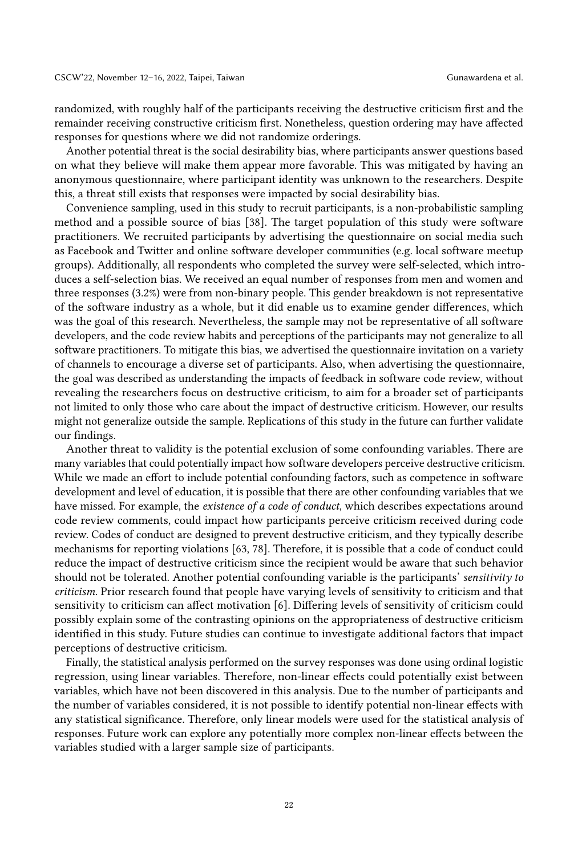randomized, with roughly half of the participants receiving the destructive criticism first and the remainder receiving constructive criticism first. Nonetheless, question ordering may have affected responses for questions where we did not randomize orderings.

Another potential threat is the social desirability bias, where participants answer questions based on what they believe will make them appear more favorable. This was mitigated by having an anonymous questionnaire, where participant identity was unknown to the researchers. Despite this, a threat still exists that responses were impacted by social desirability bias.

Convenience sampling, used in this study to recruit participants, is a non-probabilistic sampling method and a possible source of bias [\[38\]](#page-26-18). The target population of this study were software practitioners. We recruited participants by advertising the questionnaire on social media such as Facebook and Twitter and online software developer communities (e.g. local software meetup groups). Additionally, all respondents who completed the survey were self-selected, which introduces a self-selection bias. We received an equal number of responses from men and women and three responses (3.2%) were from non-binary people. This gender breakdown is not representative of the software industry as a whole, but it did enable us to examine gender differences, which was the goal of this research. Nevertheless, the sample may not be representative of all software developers, and the code review habits and perceptions of the participants may not generalize to all software practitioners. To mitigate this bias, we advertised the questionnaire invitation on a variety of channels to encourage a diverse set of participants. Also, when advertising the questionnaire, the goal was described as understanding the impacts of feedback in software code review, without revealing the researchers focus on destructive criticism, to aim for a broader set of participants not limited to only those who care about the impact of destructive criticism. However, our results might not generalize outside the sample. Replications of this study in the future can further validate our findings.

Another threat to validity is the potential exclusion of some confounding variables. There are many variables that could potentially impact how software developers perceive destructive criticism. While we made an effort to include potential confounding factors, such as competence in software development and level of education, it is possible that there are other confounding variables that we have missed. For example, the *existence of a code of conduct*, which describes expectations around code review comments, could impact how participants perceive criticism received during code review. Codes of conduct are designed to prevent destructive criticism, and they typically describe mechanisms for reporting violations [\[63,](#page-27-20) [78\]](#page-28-15). Therefore, it is possible that a code of conduct could reduce the impact of destructive criticism since the recipient would be aware that such behavior should not be tolerated. Another potential confounding variable is the participants' sensitivity to criticism. Prior research found that people have varying levels of sensitivity to criticism and that sensitivity to criticism can affect motivation [\[6\]](#page-25-13). Differing levels of sensitivity of criticism could possibly explain some of the contrasting opinions on the appropriateness of destructive criticism identified in this study. Future studies can continue to investigate additional factors that impact perceptions of destructive criticism.

Finally, the statistical analysis performed on the survey responses was done using ordinal logistic regression, using linear variables. Therefore, non-linear effects could potentially exist between variables, which have not been discovered in this analysis. Due to the number of participants and the number of variables considered, it is not possible to identify potential non-linear effects with any statistical significance. Therefore, only linear models were used for the statistical analysis of responses. Future work can explore any potentially more complex non-linear effects between the variables studied with a larger sample size of participants.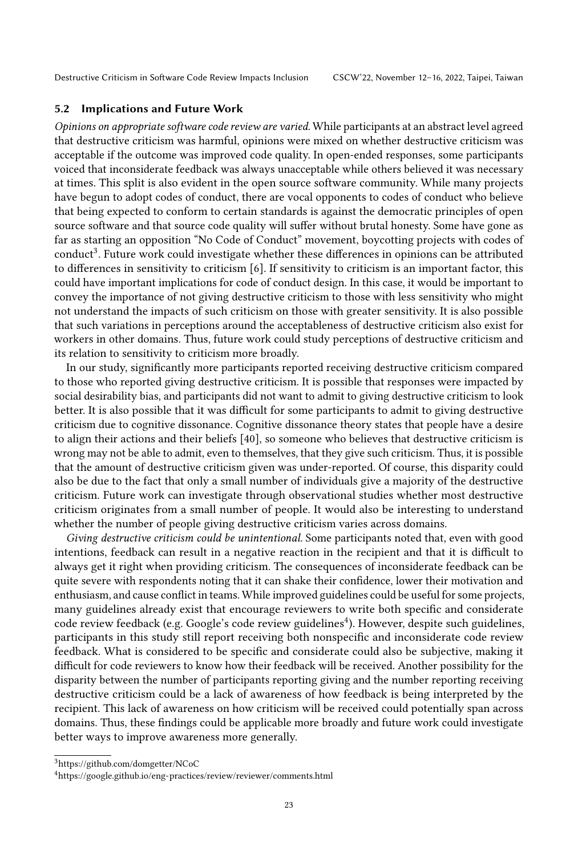### 5.2 Implications and Future Work

Opinions on appropriate software code review are varied. While participants at an abstract level agreed that destructive criticism was harmful, opinions were mixed on whether destructive criticism was acceptable if the outcome was improved code quality. In open-ended responses, some participants voiced that inconsiderate feedback was always unacceptable while others believed it was necessary at times. This split is also evident in the open source software community. While many projects have begun to adopt codes of conduct, there are vocal opponents to codes of conduct who believe that being expected to conform to certain standards is against the democratic principles of open source software and that source code quality will suffer without brutal honesty. Some have gone as far as starting an opposition "No Code of Conduct" movement, boycotting projects with codes of conduct<sup>[3](#page-22-0)</sup>. Future work could investigate whether these differences in opinions can be attributed to differences in sensitivity to criticism [\[6\]](#page-25-13). If sensitivity to criticism is an important factor, this could have important implications for code of conduct design. In this case, it would be important to convey the importance of not giving destructive criticism to those with less sensitivity who might not understand the impacts of such criticism on those with greater sensitivity. It is also possible that such variations in perceptions around the acceptableness of destructive criticism also exist for workers in other domains. Thus, future work could study perceptions of destructive criticism and its relation to sensitivity to criticism more broadly.

In our study, significantly more participants reported receiving destructive criticism compared to those who reported giving destructive criticism. It is possible that responses were impacted by social desirability bias, and participants did not want to admit to giving destructive criticism to look better. It is also possible that it was difficult for some participants to admit to giving destructive criticism due to cognitive dissonance. Cognitive dissonance theory states that people have a desire to align their actions and their beliefs [\[40\]](#page-26-22), so someone who believes that destructive criticism is wrong may not be able to admit, even to themselves, that they give such criticism. Thus, it is possible that the amount of destructive criticism given was under-reported. Of course, this disparity could also be due to the fact that only a small number of individuals give a majority of the destructive criticism. Future work can investigate through observational studies whether most destructive criticism originates from a small number of people. It would also be interesting to understand whether the number of people giving destructive criticism varies across domains.

Giving destructive criticism could be unintentional. Some participants noted that, even with good intentions, feedback can result in a negative reaction in the recipient and that it is difficult to always get it right when providing criticism. The consequences of inconsiderate feedback can be quite severe with respondents noting that it can shake their confidence, lower their motivation and enthusiasm, and cause conflict in teams. While improved guidelines could be useful for some projects, many guidelines already exist that encourage reviewers to write both specific and considerate code review feedback (e.g. Google's code review guidelines<sup>[4](#page-22-1)</sup>). However, despite such guidelines, participants in this study still report receiving both nonspecific and inconsiderate code review feedback. What is considered to be specific and considerate could also be subjective, making it difficult for code reviewers to know how their feedback will be received. Another possibility for the disparity between the number of participants reporting giving and the number reporting receiving destructive criticism could be a lack of awareness of how feedback is being interpreted by the recipient. This lack of awareness on how criticism will be received could potentially span across domains. Thus, these findings could be applicable more broadly and future work could investigate better ways to improve awareness more generally.

<span id="page-22-0"></span><sup>3</sup>https://github.com/domgetter/NCoC

<span id="page-22-1"></span><sup>4</sup><https://google.github.io/eng-practices/review/reviewer/comments.html>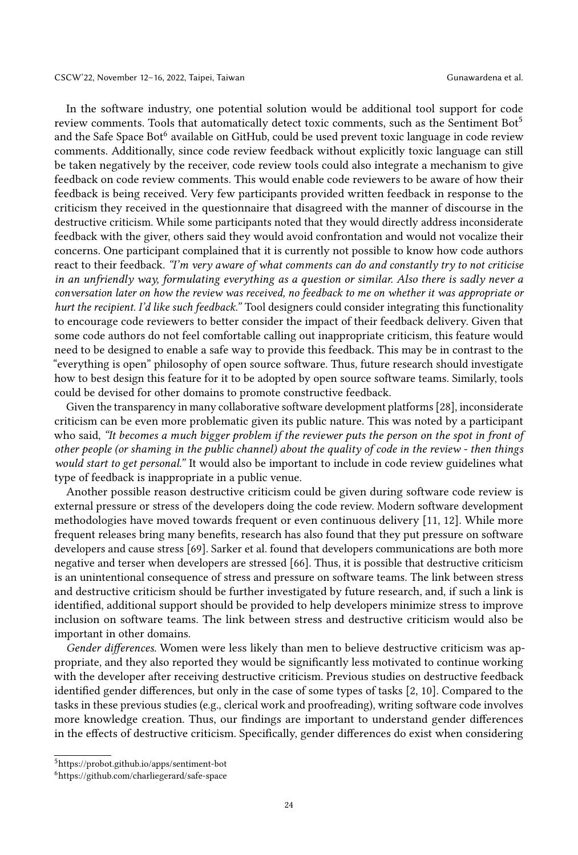In the software industry, one potential solution would be additional tool support for code review comments. Tools that automatically detect toxic comments, such as the Sentiment Bot<sup>[5](#page-23-0)</sup> and the Safe Space Bot<sup>[6](#page-23-1)</sup> available on GitHub, could be used prevent toxic language in code review comments. Additionally, since code review feedback without explicitly toxic language can still be taken negatively by the receiver, code review tools could also integrate a mechanism to give feedback on code review comments. This would enable code reviewers to be aware of how their feedback is being received. Very few participants provided written feedback in response to the criticism they received in the questionnaire that disagreed with the manner of discourse in the destructive criticism. While some participants noted that they would directly address inconsiderate feedback with the giver, others said they would avoid confrontation and would not vocalize their concerns. One participant complained that it is currently not possible to know how code authors react to their feedback. "I'm very aware of what comments can do and constantly try to not criticise in an unfriendly way, formulating everything as a question or similar. Also there is sadly never a conversation later on how the review was received, no feedback to me on whether it was appropriate or hurt the recipient. I'd like such feedback." Tool designers could consider integrating this functionality to encourage code reviewers to better consider the impact of their feedback delivery. Given that some code authors do not feel comfortable calling out inappropriate criticism, this feature would need to be designed to enable a safe way to provide this feedback. This may be in contrast to the "everything is open" philosophy of open source software. Thus, future research should investigate how to best design this feature for it to be adopted by open source software teams. Similarly, tools could be devised for other domains to promote constructive feedback.

Given the transparency in many collaborative software development platforms [\[28\]](#page-26-23), inconsiderate criticism can be even more problematic given its public nature. This was noted by a participant who said, "It becomes a much bigger problem if the reviewer puts the person on the spot in front of other people (or shaming in the public channel) about the quality of code in the review - then things would start to get personal." It would also be important to include in code review guidelines what type of feedback is inappropriate in a public venue.

Another possible reason destructive criticism could be given during software code review is external pressure or stress of the developers doing the code review. Modern software development methodologies have moved towards frequent or even continuous delivery [\[11,](#page-25-14) [12\]](#page-25-15). While more frequent releases bring many benefits, research has also found that they put pressure on software developers and cause stress [\[69\]](#page-27-21). Sarker et al. found that developers communications are both more negative and terser when developers are stressed [\[66\]](#page-27-22). Thus, it is possible that destructive criticism is an unintentional consequence of stress and pressure on software teams. The link between stress and destructive criticism should be further investigated by future research, and, if such a link is identified, additional support should be provided to help developers minimize stress to improve inclusion on software teams. The link between stress and destructive criticism would also be important in other domains.

Gender differences. Women were less likely than men to believe destructive criticism was appropriate, and they also reported they would be significantly less motivated to continue working with the developer after receiving destructive criticism. Previous studies on destructive feedback identified gender differences, but only in the case of some types of tasks [\[2,](#page-25-9) [10\]](#page-25-3). Compared to the tasks in these previous studies (e.g., clerical work and proofreading), writing software code involves more knowledge creation. Thus, our findings are important to understand gender differences in the effects of destructive criticism. Specifically, gender differences do exist when considering

<span id="page-23-0"></span><sup>5</sup>https://probot.github.io/apps/sentiment-bot

<span id="page-23-1"></span><sup>6</sup>https://github.com/charliegerard/safe-space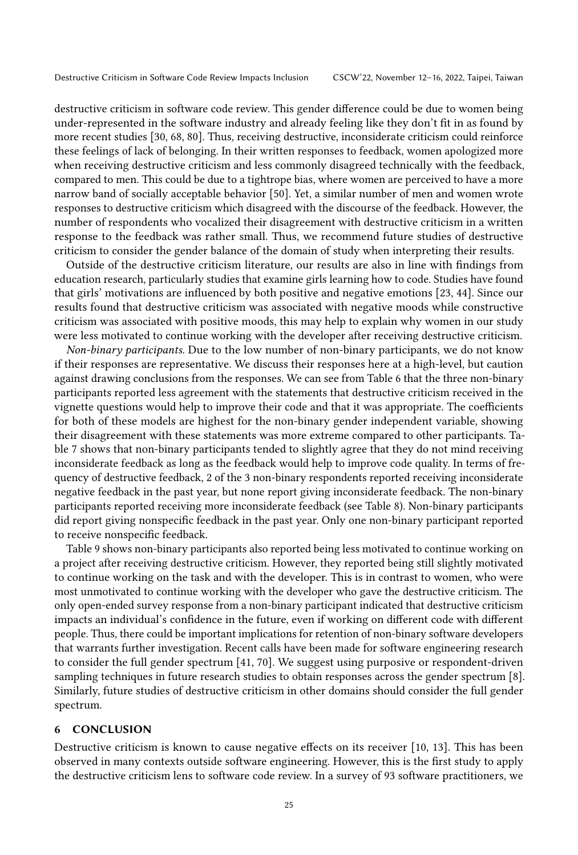destructive criticism in software code review. This gender difference could be due to women being under-represented in the software industry and already feeling like they don't fit in as found by more recent studies [\[30,](#page-26-24) [68,](#page-27-23) [80\]](#page-28-1). Thus, receiving destructive, inconsiderate criticism could reinforce these feelings of lack of belonging. In their written responses to feedback, women apologized more when receiving destructive criticism and less commonly disagreed technically with the feedback, compared to men. This could be due to a tightrope bias, where women are perceived to have a more narrow band of socially acceptable behavior [\[50\]](#page-27-1). Yet, a similar number of men and women wrote responses to destructive criticism which disagreed with the discourse of the feedback. However, the number of respondents who vocalized their disagreement with destructive criticism in a written response to the feedback was rather small. Thus, we recommend future studies of destructive criticism to consider the gender balance of the domain of study when interpreting their results.

Outside of the destructive criticism literature, our results are also in line with findings from education research, particularly studies that examine girls learning how to code. Studies have found that girls' motivations are influenced by both positive and negative emotions [\[23,](#page-26-25) [44\]](#page-26-26). Since our results found that destructive criticism was associated with negative moods while constructive criticism was associated with positive moods, this may help to explain why women in our study were less motivated to continue working with the developer after receiving destructive criticism.

Non-binary participants. Due to the low number of non-binary participants, we do not know if their responses are representative. We discuss their responses here at a high-level, but caution against drawing conclusions from the responses. We can see from Table [6](#page-12-0) that the three non-binary participants reported less agreement with the statements that destructive criticism received in the vignette questions would help to improve their code and that it was appropriate. The coefficients for both of these models are highest for the non-binary gender independent variable, showing their disagreement with these statements was more extreme compared to other participants. Table [7](#page-13-0) shows that non-binary participants tended to slightly agree that they do not mind receiving inconsiderate feedback as long as the feedback would help to improve code quality. In terms of frequency of destructive feedback, 2 of the 3 non-binary respondents reported receiving inconsiderate negative feedback in the past year, but none report giving inconsiderate feedback. The non-binary participants reported receiving more inconsiderate feedback (see Table [8\)](#page-16-0). Non-binary participants did report giving nonspecific feedback in the past year. Only one non-binary participant reported to receive nonspecific feedback.

Table [9](#page-17-0) shows non-binary participants also reported being less motivated to continue working on a project after receiving destructive criticism. However, they reported being still slightly motivated to continue working on the task and with the developer. This is in contrast to women, who were most unmotivated to continue working with the developer who gave the destructive criticism. The only open-ended survey response from a non-binary participant indicated that destructive criticism impacts an individual's confidence in the future, even if working on different code with different people. Thus, there could be important implications for retention of non-binary software developers that warrants further investigation. Recent calls have been made for software engineering research to consider the full gender spectrum [\[41,](#page-26-27) [70\]](#page-28-2). We suggest using purposive or respondent-driven sampling techniques in future research studies to obtain responses across the gender spectrum [\[8\]](#page-25-16). Similarly, future studies of destructive criticism in other domains should consider the full gender spectrum.

### <span id="page-24-0"></span>6 CONCLUSION

Destructive criticism is known to cause negative effects on its receiver [\[10,](#page-25-3) [13\]](#page-25-8). This has been observed in many contexts outside software engineering. However, this is the first study to apply the destructive criticism lens to software code review. In a survey of 93 software practitioners, we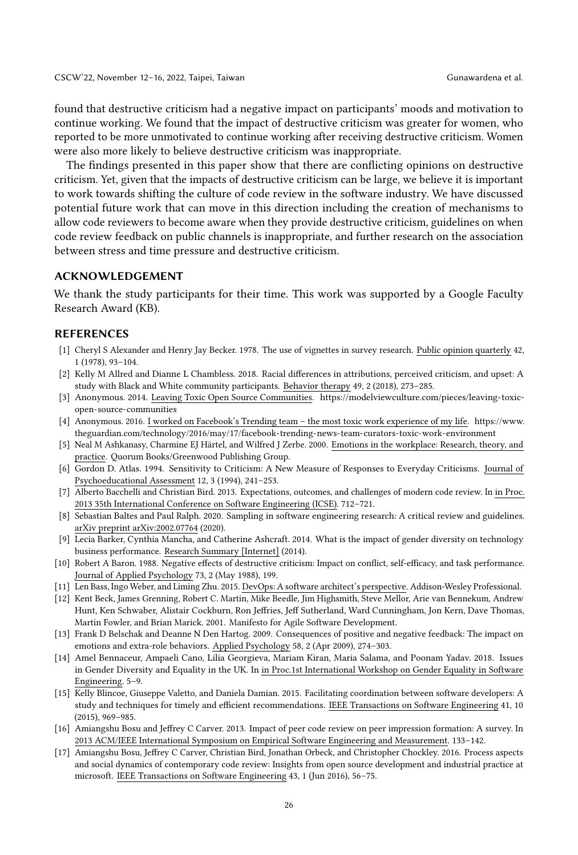found that destructive criticism had a negative impact on participants' moods and motivation to continue working. We found that the impact of destructive criticism was greater for women, who reported to be more unmotivated to continue working after receiving destructive criticism. Women were also more likely to believe destructive criticism was inappropriate.

The findings presented in this paper show that there are conflicting opinions on destructive criticism. Yet, given that the impacts of destructive criticism can be large, we believe it is important to work towards shifting the culture of code review in the software industry. We have discussed potential future work that can move in this direction including the creation of mechanisms to allow code reviewers to become aware when they provide destructive criticism, guidelines on when code review feedback on public channels is inappropriate, and further research on the association between stress and time pressure and destructive criticism.

### ACKNOWLEDGEMENT

We thank the study participants for their time. This work was supported by a Google Faculty Research Award (KB).

### **REFERENCES**

- <span id="page-25-12"></span>[1] Cheryl S Alexander and Henry Jay Becker. 1978. The use of vignettes in survey research. Public opinion quarterly 42, 1 (1978), 93–104.
- <span id="page-25-9"></span>[2] Kelly M Allred and Dianne L Chambless. 2018. Racial differences in attributions, perceived criticism, and upset: A study with Black and White community participants. Behavior therapy 49, 2 (2018), 273–285.
- <span id="page-25-7"></span>[3] Anonymous. 2014. Leaving Toxic Open Source Communities. [https://modelviewculture.com/pieces/leaving-toxic](https://modelviewculture.com/pieces/leaving-toxic-open-source-communities)[open-source-communities](https://modelviewculture.com/pieces/leaving-toxic-open-source-communities)
- <span id="page-25-2"></span>[4] Anonymous. 2016. I worked on Facebook's Trending team – the most toxic work experience of my life. [https://www.](https://www.theguardian.com/technology/2016/may/17/facebook-trending-news-team-curators-toxic-work-environment) [theguardian.com/technology/2016/may/17/facebook-trending-news-team-curators-toxic-work-environment](https://www.theguardian.com/technology/2016/may/17/facebook-trending-news-team-curators-toxic-work-environment)
- <span id="page-25-11"></span>[5] Neal M Ashkanasy, Charmine EJ Härtel, and Wilfred J Zerbe. 2000. Emotions in the workplace: Research, theory, and practice. Quorum Books/Greenwood Publishing Group.
- <span id="page-25-13"></span>[6] Gordon D. Atlas. 1994. Sensitivity to Criticism: A New Measure of Responses to Everyday Criticisms. Journal of Psychoeducational Assessment 12, 3 (1994), 241–253.
- <span id="page-25-4"></span>[7] Alberto Bacchelli and Christian Bird. 2013. Expectations, outcomes, and challenges of modern code review. In in Proc. 2013 35th International Conference on Software Engineering (ICSE). 712–721.
- <span id="page-25-16"></span>[8] Sebastian Baltes and Paul Ralph. 2020. Sampling in software engineering research: A critical review and guidelines. arXiv preprint arXiv:2002.07764 (2020).
- <span id="page-25-0"></span>[9] Lecia Barker, Cynthia Mancha, and Catherine Ashcraft. 2014. What is the impact of gender diversity on technology business performance. Research Summary [Internet] (2014).
- <span id="page-25-3"></span>[10] Robert A Baron. 1988. Negative effects of destructive criticism: Impact on conflict, self-efficacy, and task performance. Journal of Applied Psychology 73, 2 (May 1988), 199.
- <span id="page-25-14"></span>[11] Len Bass, Ingo Weber, and Liming Zhu. 2015. DevOps: A software architect's perspective. Addison-Wesley Professional.
- <span id="page-25-15"></span>[12] Kent Beck, James Grenning, Robert C. Martin, Mike Beedle, Jim Highsmith, Steve Mellor, Arie van Bennekum, Andrew Hunt, Ken Schwaber, Alistair Cockburn, Ron Jeffries, Jeff Sutherland, Ward Cunningham, Jon Kern, Dave Thomas, Martin Fowler, and Brian Marick. 2001. Manifesto for Agile Software Development.
- <span id="page-25-8"></span>[13] Frank D Belschak and Deanne N Den Hartog. 2009. Consequences of positive and negative feedback: The impact on emotions and extra-role behaviors. Applied Psychology 58, 2 (Apr 2009), 274–303.
- <span id="page-25-1"></span>[14] Amel Bennaceur, Ampaeli Cano, Lilia Georgieva, Mariam Kiran, Maria Salama, and Poonam Yadav. 2018. Issues in Gender Diversity and Equality in the UK. In in Proc.1st International Workshop on Gender Equality in Software Engineering. 5–9.
- <span id="page-25-10"></span>[15] Kelly Blincoe, Giuseppe Valetto, and Daniela Damian. 2015. Facilitating coordination between software developers: A study and techniques for timely and efficient recommendations. IEEE Transactions on Software Engineering 41, 10 (2015), 969–985.
- <span id="page-25-6"></span>[16] Amiangshu Bosu and Jeffrey C Carver. 2013. Impact of peer code review on peer impression formation: A survey. In 2013 ACM/IEEE International Symposium on Empirical Software Engineering and Measurement. 133–142.
- <span id="page-25-5"></span>[17] Amiangshu Bosu, Jeffrey C Carver, Christian Bird, Jonathan Orbeck, and Christopher Chockley. 2016. Process aspects and social dynamics of contemporary code review: Insights from open source development and industrial practice at microsoft. IEEE Transactions on Software Engineering 43, 1 (Jun 2016), 56–75.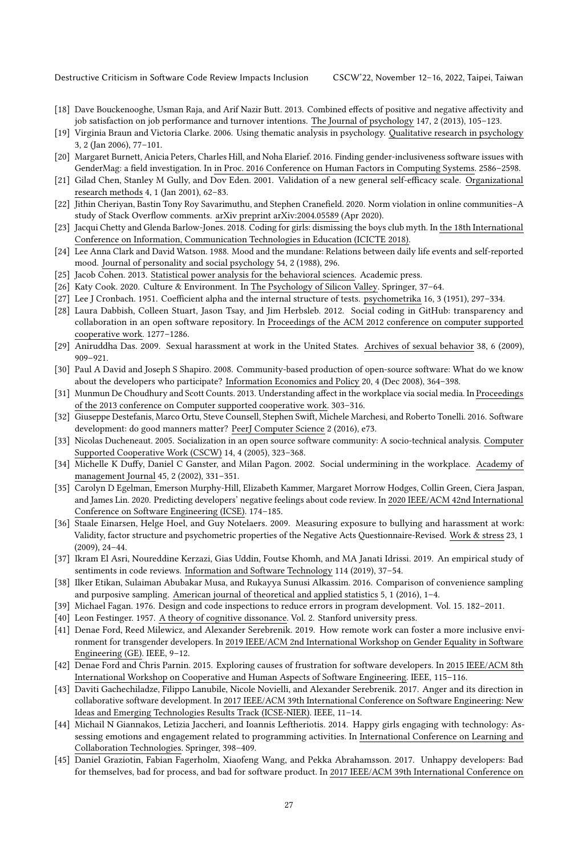- <span id="page-26-16"></span>[18] Dave Bouckenooghe, Usman Raja, and Arif Nazir Butt. 2013. Combined effects of positive and negative affectivity and job satisfaction on job performance and turnover intentions. The Journal of psychology 147, 2 (2013), 105–123.
- <span id="page-26-20"></span>[19] Virginia Braun and Victoria Clarke. 2006. Using thematic analysis in psychology. Qualitative research in psychology 3, 2 (Jan 2006), 77–101.
- <span id="page-26-0"></span>[20] Margaret Burnett, Anicia Peters, Charles Hill, and Noha Elarief. 2016. Finding gender-inclusiveness software issues with GenderMag: a field investigation. In in Proc. 2016 Conference on Human Factors in Computing Systems. 2586–2598.
- <span id="page-26-17"></span>[21] Gilad Chen, Stanley M Gully, and Dov Eden. 2001. Validation of a new general self-efficacy scale. Organizational research methods 4, 1 (Jan 2001), 62–83.
- <span id="page-26-11"></span>[22] Jithin Cheriyan, Bastin Tony Roy Savarimuthu, and Stephen Cranefield. 2020. Norm violation in online communities–A study of Stack Overflow comments. arXiv preprint arXiv:2004.05589 (Apr 2020).
- <span id="page-26-25"></span>[23] Jacqui Chetty and Glenda Barlow-Jones. 2018. Coding for girls: dismissing the boys club myth. In the 18th International Conference on Information, Communication Technologies in Education (ICICTE 2018).
- <span id="page-26-15"></span>[24] Lee Anna Clark and David Watson. 1988. Mood and the mundane: Relations between daily life events and self-reported mood. Journal of personality and social psychology 54, 2 (1988), 296.
- <span id="page-26-19"></span>[25] Jacob Cohen. 2013. Statistical power analysis for the behavioral sciences. Academic press.
- <span id="page-26-1"></span>[26] Katy Cook. 2020. Culture & Environment. In The Psychology of Silicon Valley. Springer, 37–64.
- <span id="page-26-21"></span>[27] Lee J Cronbach. 1951. Coefficient alpha and the internal structure of tests. psychometrika 16, 3 (1951), 297–334.
- <span id="page-26-23"></span>[28] Laura Dabbish, Colleen Stuart, Jason Tsay, and Jim Herbsleb. 2012. Social coding in GitHub: transparency and collaboration in an open software repository. In Proceedings of the ACM 2012 conference on computer supported cooperative work. 1277–1286.
- <span id="page-26-2"></span>[29] Aniruddha Das. 2009. Sexual harassment at work in the United States. Archives of sexual behavior 38, 6 (2009), 909–921.
- <span id="page-26-24"></span>[30] Paul A David and Joseph S Shapiro. 2008. Community-based production of open-source software: What do we know about the developers who participate? Information Economics and Policy 20, 4 (Dec 2008), 364–398.
- <span id="page-26-10"></span>[31] Munmun De Choudhury and Scott Counts. 2013. Understanding affect in the workplace via social media. In Proceedings of the 2013 conference on Computer supported cooperative work. 303–316.
- <span id="page-26-8"></span>[32] Giuseppe Destefanis, Marco Ortu, Steve Counsell, Stephen Swift, Michele Marchesi, and Roberto Tonelli. 2016. Software development: do good manners matter? PeerJ Computer Science 2 (2016), e73.
- <span id="page-26-6"></span>[33] Nicolas Ducheneaut. 2005. Socialization in an open source software community: A socio-technical analysis. Computer Supported Cooperative Work (CSCW) 14, 4 (2005), 323–368.
- <span id="page-26-4"></span>[34] Michelle K Duffy, Daniel C Ganster, and Milan Pagon. 2002. Social undermining in the workplace. Academy of management Journal 45, 2 (2002), 331–351.
- <span id="page-26-12"></span>[35] Carolyn D Egelman, Emerson Murphy-Hill, Elizabeth Kammer, Margaret Morrow Hodges, Collin Green, Ciera Jaspan, and James Lin. 2020. Predicting developers' negative feelings about code review. In 2020 IEEE/ACM 42nd International Conference on Software Engineering (ICSE). 174–185.
- <span id="page-26-5"></span>[36] Staale Einarsen, Helge Hoel, and Guy Notelaers. 2009. Measuring exposure to bullying and harassment at work: Validity, factor structure and psychometric properties of the Negative Acts Questionnaire-Revised. Work & stress 23, 1 (2009), 24–44.
- <span id="page-26-9"></span>[37] Ikram El Asri, Noureddine Kerzazi, Gias Uddin, Foutse Khomh, and MA Janati Idrissi. 2019. An empirical study of sentiments in code reviews. Information and Software Technology 114 (2019), 37–54.
- <span id="page-26-18"></span>[38] Ilker Etikan, Sulaiman Abubakar Musa, and Rukayya Sunusi Alkassim. 2016. Comparison of convenience sampling and purposive sampling. American journal of theoretical and applied statistics 5, 1 (2016), 1–4.
- <span id="page-26-3"></span>[39] Michael Fagan. 1976. Design and code inspections to reduce errors in program development. Vol. 15. 182–2011.
- <span id="page-26-22"></span>[40] Leon Festinger. 1957. A theory of cognitive dissonance. Vol. 2. Stanford university press.
- <span id="page-26-27"></span>[41] Denae Ford, Reed Milewicz, and Alexander Serebrenik. 2019. How remote work can foster a more inclusive environment for transgender developers. In 2019 IEEE/ACM 2nd International Workshop on Gender Equality in Software Engineering (GE). IEEE, 9–12.
- <span id="page-26-13"></span>[42] Denae Ford and Chris Parnin. 2015. Exploring causes of frustration for software developers. In 2015 IEEE/ACM 8th International Workshop on Cooperative and Human Aspects of Software Engineering. IEEE, 115–116.
- <span id="page-26-7"></span>[43] Daviti Gachechiladze, Filippo Lanubile, Nicole Novielli, and Alexander Serebrenik. 2017. Anger and its direction in collaborative software development. In 2017 IEEE/ACM 39th International Conference on Software Engineering: New Ideas and Emerging Technologies Results Track (ICSE-NIER). IEEE, 11–14.
- <span id="page-26-26"></span>[44] Michail N Giannakos, Letizia Jaccheri, and Ioannis Leftheriotis. 2014. Happy girls engaging with technology: Assessing emotions and engagement related to programming activities. In International Conference on Learning and Collaboration Technologies. Springer, 398–409.
- <span id="page-26-14"></span>[45] Daniel Graziotin, Fabian Fagerholm, Xiaofeng Wang, and Pekka Abrahamsson. 2017. Unhappy developers: Bad for themselves, bad for process, and bad for software product. In 2017 IEEE/ACM 39th International Conference on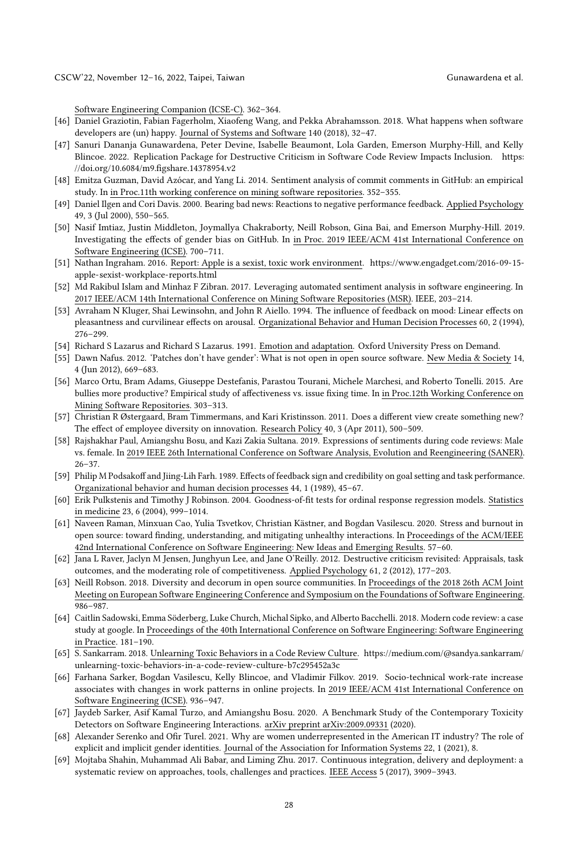Software Engineering Companion (ICSE-C). 362–364.

- <span id="page-27-17"></span>[46] Daniel Graziotin, Fabian Fagerholm, Xiaofeng Wang, and Pekka Abrahamsson. 2018. What happens when software developers are (un) happy. Journal of Systems and Software 140 (2018), 32–47.
- <span id="page-27-18"></span>[47] Sanuri Dananja Gunawardena, Peter Devine, Isabelle Beaumont, Lola Garden, Emerson Murphy-Hill, and Kelly Blincoe. 2022. Replication Package for Destructive Criticism in Software Code Review Impacts Inclusion. [https:](https://doi.org/10.6084/m9.figshare.14378954.v2) [//doi.org/10.6084/m9.figshare.14378954.v2](https://doi.org/10.6084/m9.figshare.14378954.v2)
- <span id="page-27-11"></span>[48] Emitza Guzman, David Azócar, and Yang Li. 2014. Sentiment analysis of commit comments in GitHub: an empirical study. In in Proc.11th working conference on mining software repositories. 352–355.
- <span id="page-27-6"></span>[49] Daniel Ilgen and Cori Davis. 2000. Bearing bad news: Reactions to negative performance feedback. Applied Psychology 49, 3 (Jul 2000), 550–565.
- <span id="page-27-1"></span>[50] Nasif Imtiaz, Justin Middleton, Joymallya Chakraborty, Neill Robson, Gina Bai, and Emerson Murphy-Hill. 2019. Investigating the effects of gender bias on GitHub. In in Proc. 2019 IEEE/ACM 41st International Conference on Software Engineering (ICSE). 700–711.
- <span id="page-27-3"></span>[51] Nathan Ingraham. 2016. Report: Apple is a sexist, toxic work environment. [https://www.engadget.com/2016-09-15](https://www.engadget.com/2016-09-15-apple-sexist-workplace-reports.html) [apple-sexist-workplace-reports.html](https://www.engadget.com/2016-09-15-apple-sexist-workplace-reports.html)
- <span id="page-27-13"></span>[52] Md Rakibul Islam and Minhaz F Zibran. 2017. Leveraging automated sentiment analysis in software engineering. In 2017 IEEE/ACM 14th International Conference on Mining Software Repositories (MSR). IEEE, 203–214.
- <span id="page-27-7"></span>[53] Avraham N Kluger, Shai Lewinsohn, and John R Aiello. 1994. The influence of feedback on mood: Linear effects on pleasantness and curvilinear effects on arousal. Organizational Behavior and Human Decision Processes 60, 2 (1994), 276–299.
- <span id="page-27-8"></span>[54] Richard S Lazarus and Richard S Lazarus. 1991. Emotion and adaptation. Oxford University Press on Demand.
- <span id="page-27-2"></span>[55] Dawn Nafus. 2012. 'Patches don't have gender': What is not open in open source software. New Media & Society 14, 4 (Jun 2012), 669–683.
- <span id="page-27-14"></span>[56] Marco Ortu, Bram Adams, Giuseppe Destefanis, Parastou Tourani, Michele Marchesi, and Roberto Tonelli. 2015. Are bullies more productive? Empirical study of affectiveness vs. issue fixing time. In in Proc.12th Working Conference on Mining Software Repositories. 303–313.
- <span id="page-27-0"></span>[57] Christian R Østergaard, Bram Timmermans, and Kari Kristinsson. 2011. Does a different view create something new? The effect of employee diversity on innovation. Research Policy 40, 3 (Apr 2011), 500–509.
- <span id="page-27-12"></span>[58] Rajshakhar Paul, Amiangshu Bosu, and Kazi Zakia Sultana. 2019. Expressions of sentiments during code reviews: Male vs. female. In 2019 IEEE 26th International Conference on Software Analysis, Evolution and Reengineering (SANER). 26–37.
- <span id="page-27-9"></span>[59] Philip M Podsakoff and Jiing-Lih Farh. 1989. Effects of feedback sign and credibility on goal setting and task performance. Organizational behavior and human decision processes 44, 1 (1989), 45–67.
- <span id="page-27-19"></span>[60] Erik Pulkstenis and Timothy J Robinson. 2004. Goodness-of-fit tests for ordinal response regression models. Statistics in medicine 23, 6 (2004), 999–1014.
- <span id="page-27-15"></span>[61] Naveen Raman, Minxuan Cao, Yulia Tsvetkov, Christian Kästner, and Bogdan Vasilescu. 2020. Stress and burnout in open source: toward finding, understanding, and mitigating unhealthy interactions. In Proceedings of the ACM/IEEE 42nd International Conference on Software Engineering: New Ideas and Emerging Results. 57–60.
- <span id="page-27-10"></span>[62] Jana L Raver, Jaclyn M Jensen, Junghyun Lee, and Jane O'Reilly. 2012. Destructive criticism revisited: Appraisals, task outcomes, and the moderating role of competitiveness. Applied Psychology 61, 2 (2012), 177–203.
- <span id="page-27-20"></span>[63] Neill Robson. 2018. Diversity and decorum in open source communities. In Proceedings of the 2018 26th ACM Joint Meeting on European Software Engineering Conference and Symposium on the Foundations of Software Engineering. 986–987.
- <span id="page-27-4"></span>[64] Caitlin Sadowski, Emma Söderberg, Luke Church, Michal Sipko, and Alberto Bacchelli. 2018. Modern code review: a case study at google. In Proceedings of the 40th International Conference on Software Engineering: Software Engineering in Practice. 181–190.
- <span id="page-27-5"></span>[65] S. Sankarram. 2018. Unlearning Toxic Behaviors in a Code Review Culture. [https://medium.com/@sandya.sankarram/](https://medium.com/@sandya.sankarram/unlearning-toxic-behaviors-in-a-code-review-culture-b7c295452a3c) [unlearning-toxic-behaviors-in-a-code-review-culture-b7c295452a3c](https://medium.com/@sandya.sankarram/unlearning-toxic-behaviors-in-a-code-review-culture-b7c295452a3c)
- <span id="page-27-22"></span>[66] Farhana Sarker, Bogdan Vasilescu, Kelly Blincoe, and Vladimir Filkov. 2019. Socio-technical work-rate increase associates with changes in work patterns in online projects. In 2019 IEEE/ACM 41st International Conference on Software Engineering (ICSE). 936–947.
- <span id="page-27-16"></span>[67] Jaydeb Sarker, Asif Kamal Turzo, and Amiangshu Bosu. 2020. A Benchmark Study of the Contemporary Toxicity Detectors on Software Engineering Interactions. arXiv preprint arXiv:2009.09331 (2020).
- <span id="page-27-23"></span>[68] Alexander Serenko and Ofir Turel. 2021. Why are women underrepresented in the American IT industry? The role of explicit and implicit gender identities. Journal of the Association for Information Systems 22, 1 (2021), 8.
- <span id="page-27-21"></span>[69] Mojtaba Shahin, Muhammad Ali Babar, and Liming Zhu. 2017. Continuous integration, delivery and deployment: a systematic review on approaches, tools, challenges and practices. IEEE Access 5 (2017), 3909–3943.